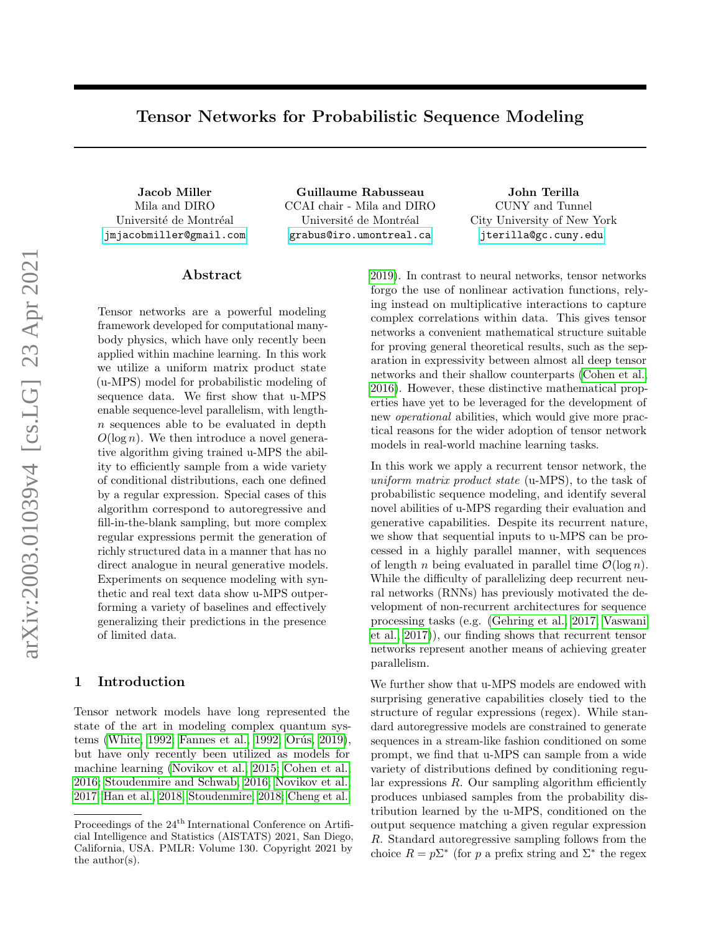# Tensor Networks for Probabilistic Sequence Modeling

Mila and DIRO Université de Montréal [jmjacobmiller@gmail.com](mailto:jmjacobmiller@gmail.com)

Jacob Miller Guillaume Rabusseau John Terilla CCAI chair - Mila and DIRO Université de Montréal [grabus@iro.umontreal.ca](mailto:grabus@iro.umontreal.ca)

CUNY and Tunnel City University of New York [jterilla@gc.cuny.edu](mailto:jterilla@gc.cuny.edu)

## Abstract

Tensor networks are a powerful modeling framework developed for computational manybody physics, which have only recently been applied within machine learning. In this work we utilize a uniform matrix product state (u-MPS) model for probabilistic modeling of sequence data. We first show that u-MPS enable sequence-level parallelism, with lengthn sequences able to be evaluated in depth  $O(\log n)$ . We then introduce a novel generative algorithm giving trained u-MPS the ability to efficiently sample from a wide variety of conditional distributions, each one defined by a regular expression. Special cases of this algorithm correspond to autoregressive and fill-in-the-blank sampling, but more complex regular expressions permit the generation of richly structured data in a manner that has no direct analogue in neural generative models. Experiments on sequence modeling with synthetic and real text data show u-MPS outperforming a variety of baselines and effectively generalizing their predictions in the presence of limited data.

## 1 Introduction

Tensor network models have long represented the state of the art in modeling complex quantum sys-tems [\(White, 1992;](#page-17-0) [Fannes et al., 1992;](#page-16-0) Orús, 2019), but have only recently been utilized as models for machine learning [\(Novikov et al., 2015;](#page-17-2) [Cohen et al.,](#page-16-1) [2016;](#page-16-1) [Stoudenmire and Schwab, 2016;](#page-17-3) [Novikov et al.,](#page-17-4) [2017;](#page-17-4) [Han et al., 2018;](#page-16-2) [Stoudenmire, 2018;](#page-17-5) [Cheng et al.,](#page-16-3) [2019\)](#page-16-3). In contrast to neural networks, tensor networks forgo the use of nonlinear activation functions, relying instead on multiplicative interactions to capture complex correlations within data. This gives tensor networks a convenient mathematical structure suitable for proving general theoretical results, such as the separation in expressivity between almost all deep tensor networks and their shallow counterparts [\(Cohen et al.,](#page-16-1) [2016\)](#page-16-1). However, these distinctive mathematical properties have yet to be leveraged for the development of new operational abilities, which would give more practical reasons for the wider adoption of tensor network models in real-world machine learning tasks.

In this work we apply a recurrent tensor network, the uniform matrix product state (u-MPS), to the task of probabilistic sequence modeling, and identify several novel abilities of u-MPS regarding their evaluation and generative capabilities. Despite its recurrent nature, we show that sequential inputs to u-MPS can be processed in a highly parallel manner, with sequences of length *n* being evaluated in parallel time  $\mathcal{O}(\log n)$ . While the difficulty of parallelizing deep recurrent neural networks (RNNs) has previously motivated the development of non-recurrent architectures for sequence processing tasks (e.g. [\(Gehring et al., 2017;](#page-16-4) [Vaswani](#page-17-6) [et al., 2017\)](#page-17-6)), our finding shows that recurrent tensor networks represent another means of achieving greater parallelism.

We further show that u-MPS models are endowed with surprising generative capabilities closely tied to the structure of regular expressions (regex). While standard autoregressive models are constrained to generate sequences in a stream-like fashion conditioned on some prompt, we find that u-MPS can sample from a wide variety of distributions defined by conditioning regular expressions  $R$ . Our sampling algorithm efficiently produces unbiased samples from the probability distribution learned by the u-MPS, conditioned on the output sequence matching a given regular expression R. Standard autoregressive sampling follows from the choice  $R = p\Sigma^*$  (for p a prefix string and  $\Sigma^*$  the regex

Proceedings of the 24<sup>th</sup> International Conference on Artificial Intelligence and Statistics (AISTATS) 2021, San Diego, California, USA. PMLR: Volume 130. Copyright 2021 by the author(s).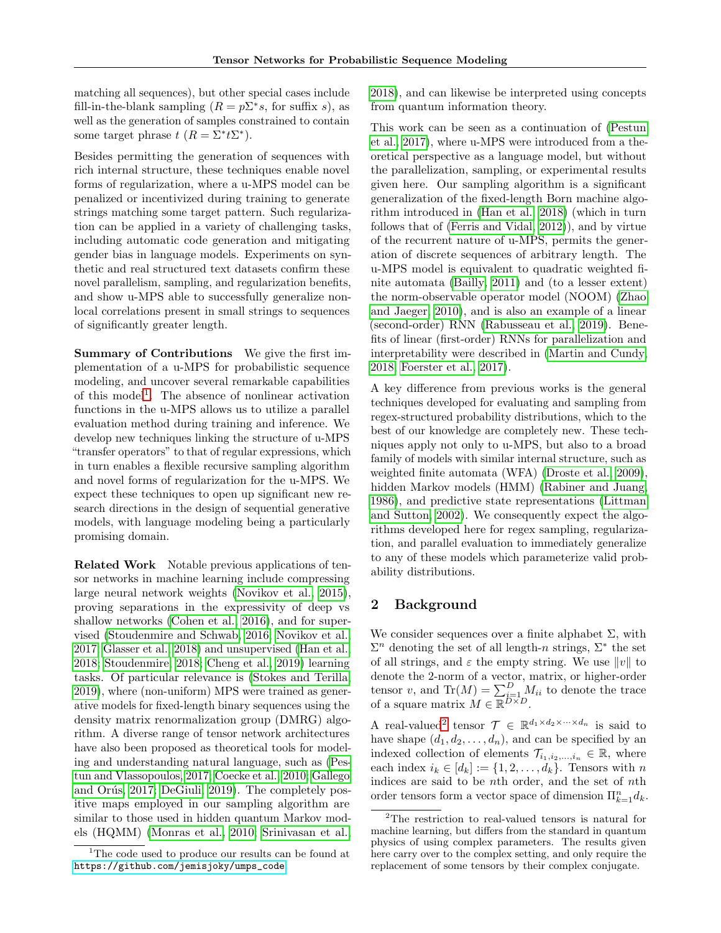matching all sequences), but other special cases include fill-in-the-blank sampling  $(R = p\sum^* s, \text{ for suffix } s)$ , as well as the generation of samples constrained to contain some target phrase  $t$   $(R = \Sigma^* t \Sigma^*)$ .

Besides permitting the generation of sequences with rich internal structure, these techniques enable novel forms of regularization, where a u-MPS model can be penalized or incentivized during training to generate strings matching some target pattern. Such regularization can be applied in a variety of challenging tasks, including automatic code generation and mitigating gender bias in language models. Experiments on synthetic and real structured text datasets confirm these novel parallelism, sampling, and regularization benefits, and show u-MPS able to successfully generalize nonlocal correlations present in small strings to sequences of significantly greater length.

Summary of Contributions We give the first implementation of a u-MPS for probabilistic sequence modeling, and uncover several remarkable capabilities of this model<sup>[1](#page-1-0)</sup>. The absence of nonlinear activation functions in the u-MPS allows us to utilize a parallel evaluation method during training and inference. We develop new techniques linking the structure of u-MPS "transfer operators" to that of regular expressions, which in turn enables a flexible recursive sampling algorithm and novel forms of regularization for the u-MPS. We expect these techniques to open up significant new research directions in the design of sequential generative models, with language modeling being a particularly promising domain.

Related Work Notable previous applications of tensor networks in machine learning include compressing large neural network weights [\(Novikov et al., 2015\)](#page-17-2), proving separations in the expressivity of deep vs shallow networks [\(Cohen et al., 2016\)](#page-16-1), and for supervised [\(Stoudenmire and Schwab, 2016;](#page-17-3) [Novikov et al.,](#page-17-4) [2017;](#page-17-4) [Glasser et al., 2018\)](#page-16-5) and unsupervised [\(Han et al.,](#page-16-2) [2018;](#page-16-2) [Stoudenmire, 2018;](#page-17-5) [Cheng et al., 2019\)](#page-16-3) learning tasks. Of particular relevance is [\(Stokes and Terilla,](#page-17-7) [2019\)](#page-17-7), where (non-uniform) MPS were trained as generative models for fixed-length binary sequences using the density matrix renormalization group (DMRG) algorithm. A diverse range of tensor network architectures have also been proposed as theoretical tools for modeling and understanding natural language, such as [\(Pes](#page-17-8)[tun and Vlassopoulos, 2017;](#page-17-8) [Coecke et al., 2010;](#page-16-6) [Gallego](#page-16-7) and Orús, 2017; [DeGiuli, 2019\)](#page-16-8). The completely positive maps employed in our sampling algorithm are similar to those used in hidden quantum Markov models (HQMM) [\(Monras et al., 2010;](#page-17-9) [Srinivasan et al.,](#page-17-10) [2018\)](#page-17-10), and can likewise be interpreted using concepts from quantum information theory.

This work can be seen as a continuation of [\(Pestun](#page-17-11) [et al., 2017\)](#page-17-11), where u-MPS were introduced from a theoretical perspective as a language model, but without the parallelization, sampling, or experimental results given here. Our sampling algorithm is a significant generalization of the fixed-length Born machine algorithm introduced in [\(Han et al., 2018\)](#page-16-2) (which in turn follows that of [\(Ferris and Vidal, 2012\)](#page-16-9)), and by virtue of the recurrent nature of u-MPS, permits the generation of discrete sequences of arbitrary length. The u-MPS model is equivalent to quadratic weighted finite automata [\(Bailly, 2011\)](#page-16-10) and (to a lesser extent) the norm-observable operator model (NOOM) [\(Zhao](#page-17-12) [and Jaeger, 2010\)](#page-17-12), and is also an example of a linear (second-order) RNN [\(Rabusseau et al., 2019\)](#page-17-13). Benefits of linear (first-order) RNNs for parallelization and interpretability were described in [\(Martin and Cundy,](#page-17-14) [2018;](#page-17-14) [Foerster et al., 2017\)](#page-16-11).

A key difference from previous works is the general techniques developed for evaluating and sampling from regex-structured probability distributions, which to the best of our knowledge are completely new. These techniques apply not only to u-MPS, but also to a broad family of models with similar internal structure, such as weighted finite automata (WFA) [\(Droste et al., 2009\)](#page-16-12), hidden Markov models (HMM) [\(Rabiner and Juang,](#page-17-15) [1986\)](#page-17-15), and predictive state representations [\(Littman](#page-17-16) [and Sutton, 2002\)](#page-17-16). We consequently expect the algorithms developed here for regex sampling, regularization, and parallel evaluation to immediately generalize to any of these models which parameterize valid probability distributions.

## 2 Background

We consider sequences over a finite alphabet  $\Sigma$ , with  $\Sigma^n$  denoting the set of all length-n strings,  $\Sigma^*$  the set of all strings, and  $\varepsilon$  the empty string. We use  $||v||$  to denote the 2-norm of a vector, matrix, or higher-order tensor v, and  $\text{Tr}(M) = \sum_{i=1}^{D} M_{ii}$  to denote the trace of a square matrix  $M \in \overline{\mathbb{R}^{D \times D}}$ .

A real-valued<sup>[2](#page-1-1)</sup> tensor  $\mathcal{T} \in \mathbb{R}^{d_1 \times d_2 \times \cdots \times d_n}$  is said to have shape  $(d_1, d_2, \ldots, d_n)$ , and can be specified by an indexed collection of elements  $\mathcal{T}_{i_1,i_2,\ldots,i_n} \in \mathbb{R}$ , where each index  $i_k \in [d_k] := \{1, 2, \ldots, d_k\}$ . Tensors with n indices are said to be nth order, and the set of nth order tensors form a vector space of dimension  $\prod_{k=1}^{n} d_k$ .

<span id="page-1-0"></span><sup>&</sup>lt;sup>1</sup>The code used to produce our results can be found at [https://github.com/jemisjoky/umps\\_code](https://github.com/jemisjoky/umps_code).

<span id="page-1-1"></span><sup>2</sup>The restriction to real-valued tensors is natural for machine learning, but differs from the standard in quantum physics of using complex parameters. The results given here carry over to the complex setting, and only require the replacement of some tensors by their complex conjugate.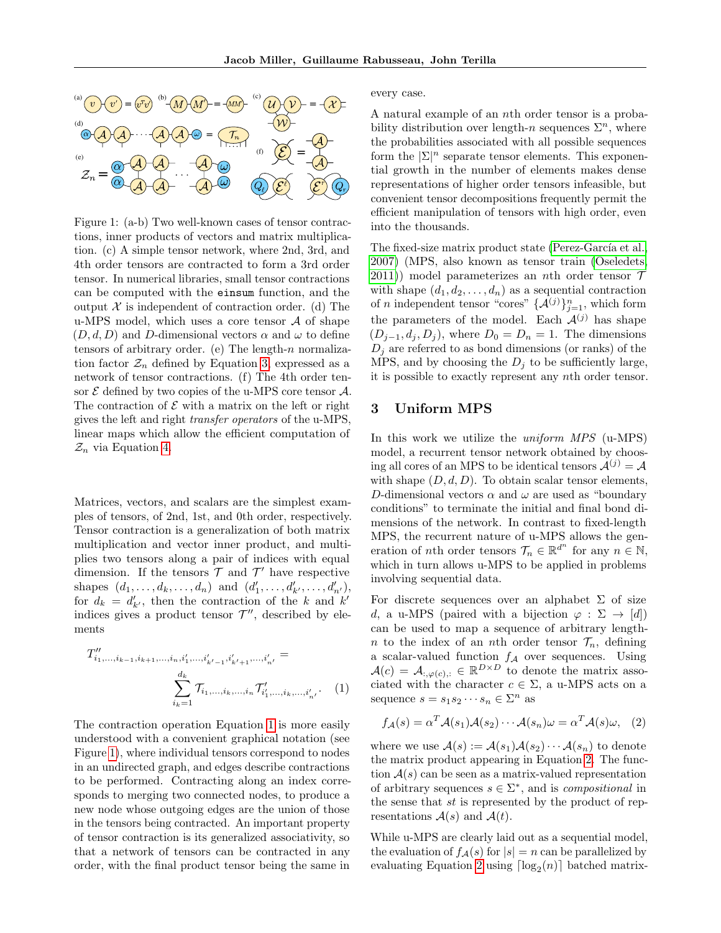

<span id="page-2-1"></span>Figure 1: (a-b) Two well-known cases of tensor contractions, inner products of vectors and matrix multiplication. (c) A simple tensor network, where 2nd, 3rd, and 4th order tensors are contracted to form a 3rd order tensor. In numerical libraries, small tensor contractions can be computed with the einsum function, and the output  $\mathcal X$  is independent of contraction order. (d) The u-MPS model, which uses a core tensor  $A$  of shape  $(D, d, D)$  and D-dimensional vectors  $\alpha$  and  $\omega$  to define tensors of arbitrary order. (e) The length- $n$  normalization factor  $\mathcal{Z}_n$  defined by Equation [3,](#page-3-0) expressed as a network of tensor contractions. (f) The 4th order tensor  $\mathcal E$  defined by two copies of the u-MPS core tensor  $\mathcal A$ . The contraction of  $\mathcal E$  with a matrix on the left or right gives the left and right transfer operators of the u-MPS, linear maps which allow the efficient computation of  $\mathcal{Z}_n$  via Equation [4.](#page-4-0)

Matrices, vectors, and scalars are the simplest examples of tensors, of 2nd, 1st, and 0th order, respectively. Tensor contraction is a generalization of both matrix multiplication and vector inner product, and multiplies two tensors along a pair of indices with equal dimension. If the tensors  $\mathcal T$  and  $\mathcal T'$  have respective shapes  $(d_1, ..., d_k, ..., d_n)$  and  $(d'_1, ..., d'_{k'}, ..., d'_{n'})$ , for  $d_k = d'_{k'}$ , then the contraction of the k and k' indices gives a product tensor  $\mathcal{T}''$ , described by elements

$$
T''_{i_1,\ldots,i_{k-1},i_{k+1},\ldots,i_n,i'_1,\ldots,i'_{k'-1},i'_{k'+1},\ldots,i'_n'} = \sum_{i_k=1}^{d_k} \mathcal{T}_{i_1,\ldots,i_k,\ldots,i_n} \mathcal{T}'_{i'_1,\ldots,i_k,\ldots,i'_{n'}}.
$$
 (1)

The contraction operation Equation [1](#page-2-0) is more easily understood with a convenient graphical notation (see Figure [1\)](#page-2-1), where individual tensors correspond to nodes in an undirected graph, and edges describe contractions to be performed. Contracting along an index corresponds to merging two connected nodes, to produce a new node whose outgoing edges are the union of those in the tensors being contracted. An important property of tensor contraction is its generalized associativity, so that a network of tensors can be contracted in any order, with the final product tensor being the same in every case.

A natural example of an nth order tensor is a probability distribution over length-n sequences  $\Sigma<sup>n</sup>$ , where the probabilities associated with all possible sequences form the  $|\Sigma|^n$  separate tensor elements. This exponential growth in the number of elements makes dense representations of higher order tensors infeasible, but convenient tensor decompositions frequently permit the efficient manipulation of tensors with high order, even into the thousands.

The fixed-size matrix product state (Perez-García et al., [2007\)](#page-17-17) (MPS, also known as tensor train [\(Oseledets,](#page-17-18) [2011\)](#page-17-18) model parameterizes an *n*th order tensor  $\mathcal{T}$ with shape  $(d_1, d_2, \ldots, d_n)$  as a sequential contraction of *n* independent tensor "cores"  $\{\mathcal{A}^{(j)}\}_{j=1}^n$ , which form the parameters of the model. Each  $\mathcal{A}^{(j)}$  has shape  $(D_{i-1}, d_i, D_i)$ , where  $D_0 = D_n = 1$ . The dimensions  $D_j$  are referred to as bond dimensions (or ranks) of the MPS, and by choosing the  $D_j$  to be sufficiently large, it is possible to exactly represent any nth order tensor.

# <span id="page-2-3"></span>3 Uniform MPS

In this work we utilize the uniform MPS (u-MPS) model, a recurrent tensor network obtained by choosing all cores of an MPS to be identical tensors  $\mathcal{A}^{(j)} = \mathcal{A}$ with shape  $(D, d, D)$ . To obtain scalar tensor elements, D-dimensional vectors  $\alpha$  and  $\omega$  are used as "boundary" conditions" to terminate the initial and final bond dimensions of the network. In contrast to fixed-length MPS, the recurrent nature of u-MPS allows the generation of *n*th order tensors  $\mathcal{T}_n \in \mathbb{R}^{d^n}$  for any  $n \in \mathbb{N}$ , which in turn allows u-MPS to be applied in problems involving sequential data.

For discrete sequences over an alphabet  $\Sigma$  of size d, a u-MPS (paired with a bijection  $\varphi : \Sigma \to [d]$ ) can be used to map a sequence of arbitrary lengthn to the index of an nth order tensor  $\mathcal{T}_n$ , defining a scalar-valued function  $f_{\mathcal{A}}$  over sequences. Using  $\mathcal{A}(c) = \mathcal{A}_{:,\varphi(c),:} \in \mathbb{R}^{D \times D}$  to denote the matrix associated with the character  $c \in \Sigma$ , a u-MPS acts on a sequence  $s = s_1 s_2 \cdots s_n \in \Sigma^n$  as

<span id="page-2-2"></span><span id="page-2-0"></span>
$$
f_{\mathcal{A}}(s) = \alpha^T \mathcal{A}(s_1) \mathcal{A}(s_2) \cdots \mathcal{A}(s_n) \omega = \alpha^T \mathcal{A}(s) \omega, \quad (2)
$$

where we use  $\mathcal{A}(s) := \mathcal{A}(s_1)\mathcal{A}(s_2)\cdots\mathcal{A}(s_n)$  to denote the matrix product appearing in Equation [2.](#page-2-2) The function  $A(s)$  can be seen as a matrix-valued representation of arbitrary sequences  $s \in \Sigma^*$ , and is *compositional* in the sense that st is represented by the product of representations  $A(s)$  and  $A(t)$ .

While u-MPS are clearly laid out as a sequential model, the evaluation of  $f_{\mathcal{A}}(s)$  for  $|s|=n$  can be parallelized by evaluating Equation [2](#page-2-2) using  $\lceil \log_2(n) \rceil$  batched matrix-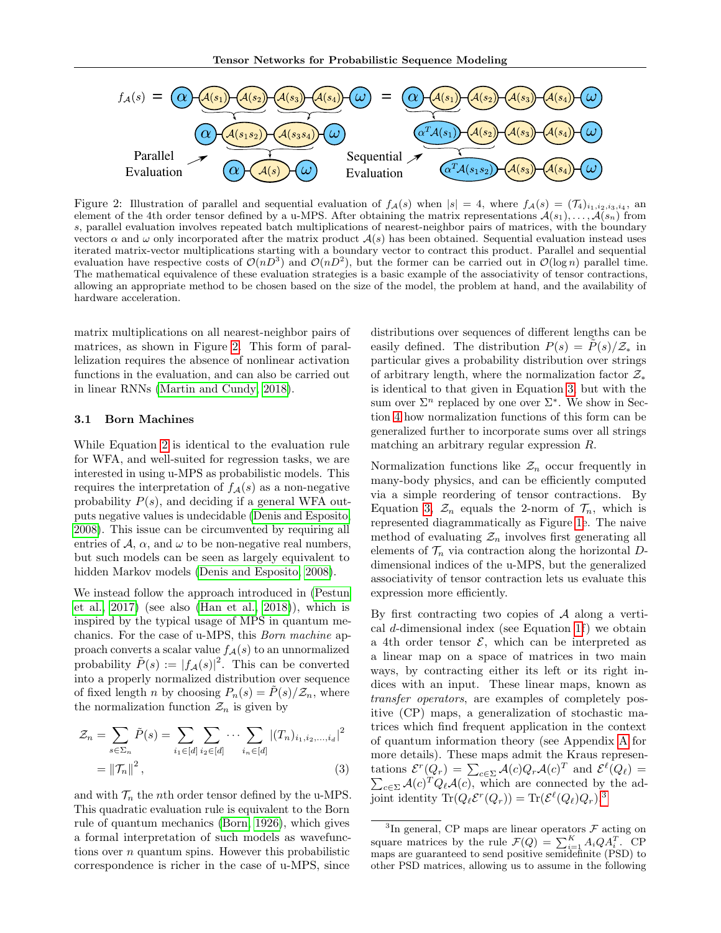

<span id="page-3-1"></span>Figure 2: Illustration of parallel and sequential evaluation of  $f_{\mathcal{A}}(s)$  when  $|s| = 4$ , where  $f_{\mathcal{A}}(s) = (\mathcal{T}_4)_{i_1, i_2, i_3, i_4}$ , and element of the 4th order tensor defined by a u-MPS. After obtaining the matrix representations  $\mathcal{A}(s_1), \ldots, \mathcal{A}(s_n)$  from s, parallel evaluation involves repeated batch multiplications of nearest-neighbor pairs of matrices, with the boundary vectors  $\alpha$  and  $\omega$  only incorporated after the matrix product  $\mathcal{A}(s)$  has been obtained. Sequential evaluation instead uses iterated matrix-vector multiplications starting with a boundary vector to contract this product. Parallel and sequential evaluation have respective costs of  $\mathcal{O}(nD^3)$  and  $\mathcal{O}(nD^2)$ , but the former can be carried out in  $\mathcal{O}(\log n)$  parallel time. The mathematical equivalence of these evaluation strategies is a basic example of the associativity of tensor contractions, allowing an appropriate method to be chosen based on the size of the model, the problem at hand, and the availability of hardware acceleration.

matrix multiplications on all nearest-neighbor pairs of matrices, as shown in Figure [2.](#page-3-1) This form of parallelization requires the absence of nonlinear activation functions in the evaluation, and can also be carried out in linear RNNs [\(Martin and Cundy, 2018\)](#page-17-14).

#### 3.1 Born Machines

While Equation [2](#page-2-2) is identical to the evaluation rule for WFA, and well-suited for regression tasks, we are interested in using u-MPS as probabilistic models. This requires the interpretation of  $f_A(s)$  as a non-negative probability  $P(s)$ , and deciding if a general WFA outputs negative values is undecidable [\(Denis and Esposito,](#page-16-13) [2008\)](#page-16-13). This issue can be circumvented by requiring all entries of A,  $\alpha$ , and  $\omega$  to be non-negative real numbers, but such models can be seen as largely equivalent to hidden Markov models [\(Denis and Esposito, 2008\)](#page-16-13).

We instead follow the approach introduced in [\(Pestun](#page-17-11) [et al., 2017\)](#page-17-11) (see also [\(Han et al., 2018\)](#page-16-2)), which is inspired by the typical usage of MPS in quantum mechanics. For the case of u-MPS, this Born machine approach converts a scalar value  $f_{\mathcal{A}}(s)$  to an unnormalized probability  $\tilde{P}(s) := |f_{\mathcal{A}}(s)|^2$ . This can be converted into a properly normalized distribution over sequence of fixed length n by choosing  $P_n(s) = \tilde{P}(s)/\mathcal{Z}_n$ , where the normalization function  $\mathcal{Z}_n$  is given by

$$
\mathcal{Z}_n = \sum_{s \in \Sigma_n} \tilde{P}(s) = \sum_{i_1 \in [d]} \sum_{i_2 \in [d]} \cdots \sum_{i_n \in [d]} |(T_n)_{i_1, i_2, \dots, i_d}|^2
$$
  
=  $||\mathcal{T}_n||^2$ , (3)

and with  $\mathcal{T}_n$  the *n*th order tensor defined by the u-MPS. This quadratic evaluation rule is equivalent to the Born rule of quantum mechanics [\(Born, 1926\)](#page-16-14), which gives a formal interpretation of such models as wavefunctions over n quantum spins. However this probabilistic correspondence is richer in the case of u-MPS, since distributions over sequences of different lengths can be easily defined. The distribution  $P(s) = P(s)/\mathcal{Z}_{\ast}$  in particular gives a probability distribution over strings of arbitrary length, where the normalization factor  $\mathcal{Z}_*$ is identical to that given in Equation [3,](#page-3-0) but with the sum over  $\Sigma^n$  replaced by one over  $\Sigma^*$ . We show in Section [4](#page-4-1) how normalization functions of this form can be generalized further to incorporate sums over all strings matching an arbitrary regular expression R.

Normalization functions like  $\mathcal{Z}_n$  occur frequently in many-body physics, and can be efficiently computed via a simple reordering of tensor contractions. By Equation [3,](#page-3-0)  $\mathcal{Z}_n$  equals the 2-norm of  $\mathcal{T}_n$ , which is represented diagrammatically as Figure [1e](#page-2-1). The naive method of evaluating  $\mathcal{Z}_n$  involves first generating all elements of  $\mathcal{T}_n$  via contraction along the horizontal Ddimensional indices of the u-MPS, but the generalized associativity of tensor contraction lets us evaluate this expression more efficiently.

By first contracting two copies of  $A$  along a vertical d-dimensional index (see Equation [1f](#page-2-1)) we obtain a 4th order tensor  $\mathcal{E}$ , which can be interpreted as a linear map on a space of matrices in two main ways, by contracting either its left or its right indices with an input. These linear maps, known as transfer operators, are examples of completely positive (CP) maps, a generalization of stochastic matrices which find frequent application in the context of quantum information theory (see Appendix [A](#page-9-0) for more details). These maps admit the Kraus representations  $\mathcal{E}^r(Q_r) = \sum_{c \in \Sigma} \mathcal{A}(c) Q_r \mathcal{A}(c)^T$  and  $\mathcal{E}^{\ell}$ P  $(Q_{\ell}) =$  $c \in \Sigma \mathcal{A}(c)^T Q_{\ell} \mathcal{A}(c)$ , which are connected by the adjoint identity  $\text{Tr}(Q_\ell \mathcal{E}^r(Q_r)) = \text{Tr}(\mathcal{E}^{\ell}(Q_\ell)Q_r).^3$  $\text{Tr}(Q_\ell \mathcal{E}^r(Q_r)) = \text{Tr}(\mathcal{E}^{\ell}(Q_\ell)Q_r).^3$ 

<span id="page-3-2"></span><span id="page-3-0"></span><sup>&</sup>lt;sup>3</sup>In general, CP maps are linear operators  $\mathcal F$  acting on square matrices by the rule  $\mathcal{F}(Q) = \sum_{i=1}^{K} A_i Q A_i^T$ . CP maps are guaranteed to send positive semidefinite (PSD) to other PSD matrices, allowing us to assume in the following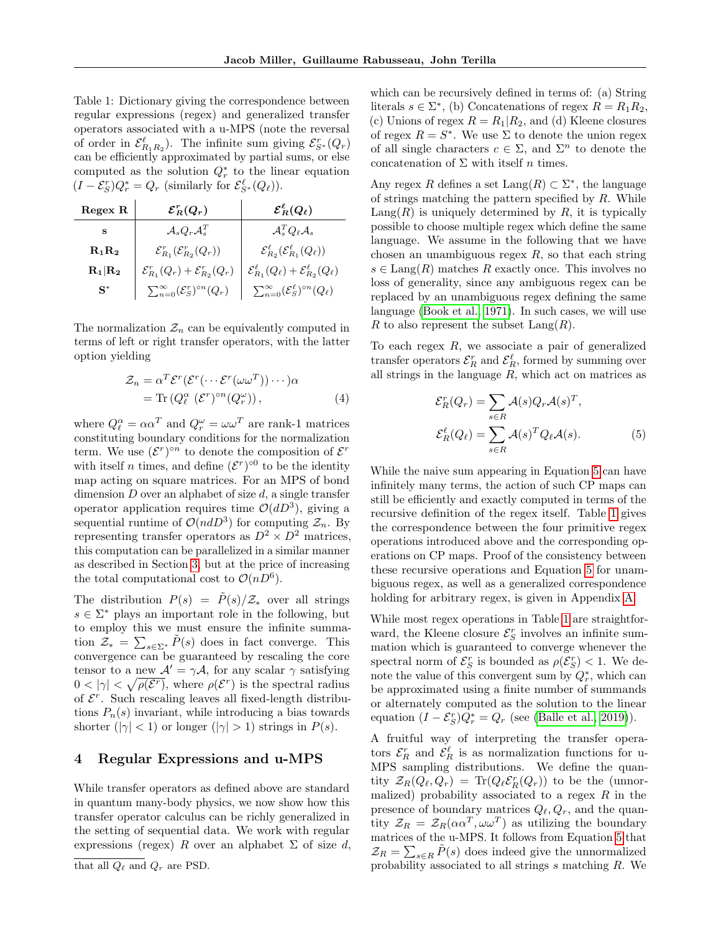<span id="page-4-3"></span>Table 1: Dictionary giving the correspondence between regular expressions (regex) and generalized transfer operators associated with a u-MPS (note the reversal of order in  $\mathcal{E}_{R_1R_2}^{\ell}$ ). The infinite sum giving  $\mathcal{E}_{S^*}^r(Q_r)$ can be efficiently approximated by partial sums, or else computed as the solution  $Q_r^*$  to the linear equation  $(I - \mathcal{E}_S^r) Q_r^* = Q_r$  (similarly for  $\mathcal{E}_{S^*}^{\ell}(Q_{\ell})$ ).

| Regex R      | ${\cal E}_R^r(Q_r)$                                             | ${\cal E}^{\ell}_R(Q_{\ell})$                                           |
|--------------|-----------------------------------------------------------------|-------------------------------------------------------------------------|
|              | $\mathcal{A}_s Q_r \mathcal{A}_s^T$                             | $\mathcal{A}_s^T Q_\ell \mathcal{A}_s$                                  |
| $\rm R_1R_2$ | $\mathcal{E}_{R_1}^r(\mathcal{E}_{R_2}^r(Q_r))$                 | $\mathcal{E}_{R_2}^{\ell}(\mathcal{E}_{R_1}^{\ell}(Q_{\ell}))$          |
| $R_1 R_2$    | $\mathcal{E}_{R_{1}}^{r}(Q_{r})+\mathcal{E}_{R_{2}}^{r}(Q_{r})$ | $\mathcal{E}_{R_1}^{\ell}(Q_{\ell})+\mathcal{E}_{R_2}^{\ell}(Q_{\ell})$ |
|              | $\sum_{n=0}^{\infty} (\mathcal{E}_S^r)^{\circ n} (Q_r)$         | $\sum_{n=0}^{\infty} (\mathcal{E}_S^{\ell})^{\circ n} (Q_{\ell})$       |

The normalization  $\mathcal{Z}_n$  can be equivalently computed in terms of left or right transfer operators, with the latter option yielding

$$
\mathcal{Z}_n = \alpha^T \mathcal{E}^r(\mathcal{E}^r(\cdots \mathcal{E}^r(\omega \omega^T)) \cdots) \alpha \n= \text{Tr}\left(Q_\ell^\alpha (\mathcal{E}^r)^{\circ n}(Q_r^\omega)\right),
$$
\n(4)

where  $Q_{\ell}^{\alpha} = \alpha \alpha^T$  and  $Q_{r}^{\omega} = \omega \omega^T$  are rank-1 matrices constituting boundary conditions for the normalization term. We use  $(\mathcal{E}^r)^{\circ n}$  to denote the composition of  $\mathcal{E}^r$ with itself *n* times, and define  $(\mathcal{E}^r)^{\circ 0}$  to be the identity map acting on square matrices. For an MPS of bond dimension  $D$  over an alphabet of size  $d$ , a single transfer operator application requires time  $\mathcal{O}(dD^3)$ , giving a sequential runtime of  $\mathcal{O}(ndD^3)$  for computing  $\mathcal{Z}_n$ . By representing transfer operators as  $D^2 \times D^2$  matrices, this computation can be parallelized in a similar manner as described in Section [3,](#page-2-3) but at the price of increasing the total computational cost to  $\mathcal{O}(nD^6)$ .

The distribution  $P(s) = \tilde{P}(s)/\mathcal{Z}_{*}$  over all strings  $s \in \Sigma^*$  plays an important role in the following, but to employ this we must ensure the infinite summation  $\mathcal{Z}_{*} = \sum_{s \in \Sigma^{*}} \tilde{P}(s)$  does in fact converge. This convergence can be guaranteed by rescaling the core tensor to a new  $A' = \gamma A$ , for any scalar  $\gamma$  satisfying  $0 < |\gamma| < \sqrt{\rho(\mathcal{E}^r)}$ , where  $\rho(\mathcal{E}^r)$  is the spectral radius of  $\mathcal{E}^r$ . Such rescaling leaves all fixed-length distributions  $P_n(s)$  invariant, while introducing a bias towards shorter ( $|\gamma|$  < 1) or longer ( $|\gamma|$  > 1) strings in  $P(s)$ .

## <span id="page-4-1"></span>4 Regular Expressions and u-MPS

While transfer operators as defined above are standard in quantum many-body physics, we now show how this transfer operator calculus can be richly generalized in the setting of sequential data. We work with regular expressions (regex) R over an alphabet  $\Sigma$  of size d, which can be recursively defined in terms of: (a) String literals  $s \in \Sigma^*$ , (b) Concatenations of regex  $R = R_1 R_2$ , (c) Unions of regex  $R = R_1 | R_2$ , and (d) Kleene closures of regex  $R = S^*$ . We use  $\Sigma$  to denote the union regex of all single characters  $c \in \Sigma$ , and  $\Sigma<sup>n</sup>$  to denote the concatenation of  $\Sigma$  with itself *n* times.

Any regex R defines a set  $\text{Lang}(R) \subset \Sigma^*$ , the language of strings matching the pattern specified by R. While  $\text{Lang}(R)$  is uniquely determined by R, it is typically possible to choose multiple regex which define the same language. We assume in the following that we have chosen an unambiguous regex  $R$ , so that each string  $s \in \text{Lang}(R)$  matches R exactly once. This involves no loss of generality, since any ambiguous regex can be replaced by an unambiguous regex defining the same language [\(Book et al., 1971\)](#page-16-15). In such cases, we will use R to also represent the subset  $\text{Lang}(R)$ .

<span id="page-4-0"></span>To each regex  $R$ , we associate a pair of generalized transfer operators  $\mathcal{E}_R^r$  and  $\mathcal{E}_R^{\ell}$ , formed by summing over all strings in the language  $R$ , which act on matrices as

<span id="page-4-2"></span>
$$
\mathcal{E}_R^r(Q_r) = \sum_{s \in R} \mathcal{A}(s) Q_r \mathcal{A}(s)^T,
$$
  

$$
\mathcal{E}_R^{\ell}(Q_{\ell}) = \sum_{s \in R} \mathcal{A}(s)^T Q_{\ell} \mathcal{A}(s).
$$
 (5)

While the naive sum appearing in Equation [5](#page-4-2) can have infinitely many terms, the action of such CP maps can still be efficiently and exactly computed in terms of the recursive definition of the regex itself. Table [1](#page-4-3) gives the correspondence between the four primitive regex operations introduced above and the corresponding operations on CP maps. Proof of the consistency between these recursive operations and Equation [5](#page-4-2) for unambiguous regex, as well as a generalized correspondence holding for arbitrary regex, is given in Appendix [A.](#page-9-0)

While most regex operations in Table [1](#page-4-3) are straightforward, the Kleene closure  $\mathcal{E}_S^r$  involves an infinite summation which is guaranteed to converge whenever the spectral norm of  $\mathcal{E}_S^r$  is bounded as  $\rho(\mathcal{E}_S^r) < 1$ . We denote the value of this convergent sum by  $Q^*_{r}$ , which can be approximated using a finite number of summands or alternately computed as the solution to the linear equation  $(I - \mathcal{E}_{S}^{r})Q_{r}^{*} = Q_{r}$  (see [\(Balle et al., 2019\)](#page-16-16)).

A fruitful way of interpreting the transfer operators  $\mathcal{E}_R^r$  and  $\mathcal{E}_R^{\ell}$  is as normalization functions for u-MPS sampling distributions. We define the quantity  $\mathcal{Z}_R(Q_\ell, Q_r) = \text{Tr}(Q_\ell \mathcal{E}_R^r(Q_r))$  to be the (unnormalized) probability associated to a regex  $R$  in the presence of boundary matrices  $Q_{\ell}, Q_r$ , and the quantity  $Z_R = Z_R(\alpha \alpha^T, \omega \omega^T)$  as utilizing the boundary matrices of the u-MPS. It follows from Equation [5](#page-4-2) that  $Z_R = \sum_{s \in R} \tilde{P}(s)$  does indeed give the unnormalized probability associated to all strings s matching R. We

that all  $Q_{\ell}$  and  $Q_r$  are PSD.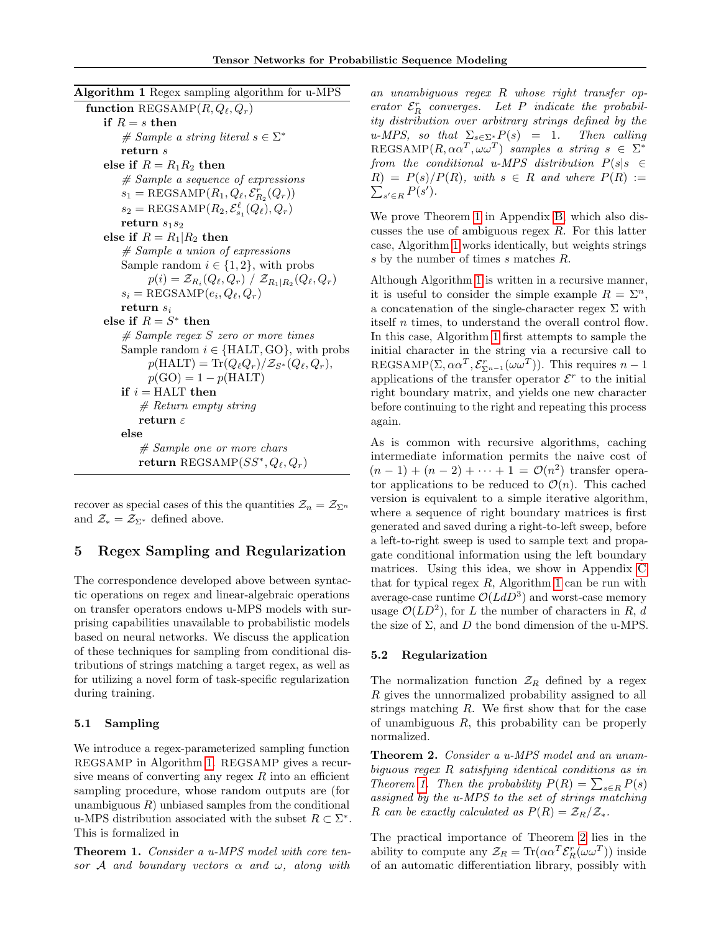Algorithm 1 Regex sampling algorithm for u-MPS

<span id="page-5-0"></span>function REGSAMP $(R, Q_\ell, Q_r)$ if  $R = s$  then  $# Sample$  a string literal  $s \in \Sigma^*$ return s else if  $R = R_1 R_2$  then # Sample a sequence of expressions  $s_1 = \text{REGSAMP}(R_1, Q_\ell, \mathcal{E}^r_{R_2}(Q_r))$  $s_2 = \text{REGSAMP}(R_2, \mathcal{E}^{\ell}_{s_1}(Q_{\ell}), Q_r)$ return  $s_1s_2$ else if  $R = R_1 | R_2$  then # Sample a union of expressions Sample random  $i \in \{1, 2\}$ , with probs  $p(i) = \mathcal{Z}_{R_i}(Q_\ell, Q_r) / \mathcal{Z}_{R_1|R_2}(Q_\ell, Q_r)$  $s_i = \text{REGSAMP}(e_i, Q_\ell, Q_r)$ return  $s_i$ else if  $R = S^*$  then # Sample regex S zero or more times Sample random  $i \in \{HALT, GO\}$ , with probs  $p(\text{HALT}) = \text{Tr}(Q_{\ell}Q_r)/\mathcal{Z}_{S^*}(Q_{\ell}, Q_r),$  $p(GO) = 1 - p(HALT)$ if  $i = HALT$  then # Return empty string return  $ε$ else # Sample one or more chars return REGSAMP $(SS^*, Q_\ell, Q_r)$ 

recover as special cases of this the quantities  $\mathcal{Z}_n = \mathcal{Z}_{\Sigma^n}$ and  $\mathcal{Z}_* = \mathcal{Z}_{\Sigma^*}$  defined above.

# 5 Regex Sampling and Regularization

The correspondence developed above between syntactic operations on regex and linear-algebraic operations on transfer operators endows u-MPS models with surprising capabilities unavailable to probabilistic models based on neural networks. We discuss the application of these techniques for sampling from conditional distributions of strings matching a target regex, as well as for utilizing a novel form of task-specific regularization during training.

#### 5.1 Sampling

We introduce a regex-parameterized sampling function REGSAMP in Algorithm [1.](#page-5-0) REGSAMP gives a recursive means of converting any regex  $R$  into an efficient sampling procedure, whose random outputs are (for unambiguous  $R$ ) unbiased samples from the conditional u-MPS distribution associated with the subset  $R \subset \Sigma^*$ . This is formalized in

<span id="page-5-1"></span>Theorem 1. Consider a u-MPS model with core tensor A and boundary vectors  $\alpha$  and  $\omega$ , along with an unambiguous regex R whose right transfer operator  $\mathcal{E}_R^r$  converges. Let P indicate the probability distribution over arbitrary strings defined by the u-MPS, so that  $\Sigma_{s\in\Sigma^*}P(s) = 1$ . Then calling  $\mathrm{REGSAMP}(R,\alpha\alpha^{T},\omega\omega^{T})$  samples a string  $s~\in~\Sigma^{*}$ from the conditional u-MPS distribution  $P(s|s \in$  $\sum_{s' \in R} P(s')$ .  $R) = P(s)/P(R)$ , with  $s \in R$  and where  $P(R) :=$ 

We prove Theorem [1](#page-5-1) in Appendix [B,](#page-11-0) which also discusses the use of ambiguous regex  $R$ . For this latter case, Algorithm [1](#page-5-0) works identically, but weights strings s by the number of times s matches R.

Although Algorithm [1](#page-5-0) is written in a recursive manner, it is useful to consider the simple example  $R = \Sigma^n$ , a concatenation of the single-character regex  $\Sigma$  with itself n times, to understand the overall control flow. In this case, Algorithm [1](#page-5-0) first attempts to sample the initial character in the string via a recursive call to REGSAMP $(\Sigma, \alpha \alpha^T, \mathcal{E}_{\Sigma^{n-1}}^r(\omega \omega^T))$ . This requires  $n-1$ applications of the transfer operator  $\mathcal{E}^r$  to the initial right boundary matrix, and yields one new character before continuing to the right and repeating this process again.

As is common with recursive algorithms, caching intermediate information permits the naive cost of  $(n-1) + (n-2) + \cdots + 1 = \mathcal{O}(n^2)$  transfer operator applications to be reduced to  $\mathcal{O}(n)$ . This cached version is equivalent to a simple iterative algorithm, where a sequence of right boundary matrices is first generated and saved during a right-to-left sweep, before a left-to-right sweep is used to sample text and propagate conditional information using the left boundary matrices. Using this idea, we show in Appendix [C](#page-13-0) that for typical regex  $R$ , Algorithm [1](#page-5-0) can be run with average-case runtime  $\mathcal{O}(LdD^3)$  and worst-case memory usage  $\mathcal{O}(LD^2)$ , for L the number of characters in R, d the size of  $\Sigma$ , and  $D$  the bond dimension of the u-MPS.

#### 5.2 Regularization

The normalization function  $\mathcal{Z}_R$  defined by a regex R gives the unnormalized probability assigned to all strings matching R. We first show that for the case of unambiguous  $R$ , this probability can be properly normalized.

<span id="page-5-2"></span>Theorem 2. Consider a u-MPS model and an unambiguous regex R satisfying identical conditions as in Theorem [1.](#page-5-1) Then the probability  $P(R) = \sum_{s \in R} P(s)$ assigned by the u-MPS to the set of strings matching R can be exactly calculated as  $P(R) = \mathcal{Z}_R/\mathcal{Z}_*$ .

The practical importance of Theorem [2](#page-5-2) lies in the ability to compute any  $\mathcal{Z}_R = \text{Tr}(\alpha \alpha^T \mathcal{E}_R^r(\omega \omega^T))$  inside of an automatic differentiation library, possibly with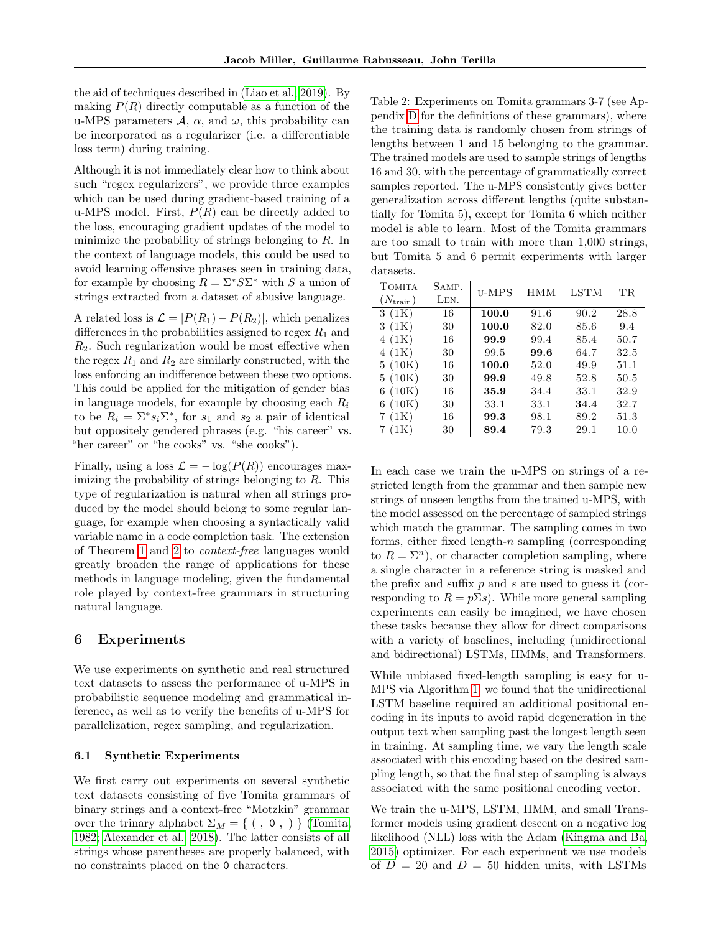the aid of techniques described in [\(Liao et al., 2019\)](#page-17-19). By making  $P(R)$  directly computable as a function of the u-MPS parameters  $\mathcal{A}$ ,  $\alpha$ , and  $\omega$ , this probability can be incorporated as a regularizer (i.e. a differentiable loss term) during training.

Although it is not immediately clear how to think about such "regex regularizers", we provide three examples which can be used during gradient-based training of a u-MPS model. First,  $P(R)$  can be directly added to the loss, encouraging gradient updates of the model to minimize the probability of strings belonging to  $R$ . In the context of language models, this could be used to avoid learning offensive phrases seen in training data, for example by choosing  $R = \sum^* S \sum^*$  with S a union of strings extracted from a dataset of abusive language.

A related loss is  $\mathcal{L} = |P(R_1) - P(R_2)|$ , which penalizes differences in the probabilities assigned to regex  $R_1$  and  $R<sub>2</sub>$ . Such regularization would be most effective when the regex  $R_1$  and  $R_2$  are similarly constructed, with the loss enforcing an indifference between these two options. This could be applied for the mitigation of gender bias in language models, for example by choosing each  $R_i$ to be  $R_i = \sum^* s_i \sum^*$ , for  $s_1$  and  $s_2$  a pair of identical but oppositely gendered phrases (e.g. "his career" vs. "her career" or "he cooks" vs. "she cooks").

Finally, using a loss  $\mathcal{L} = -\log(P(R))$  encourages maximizing the probability of strings belonging to  $R$ . This type of regularization is natural when all strings produced by the model should belong to some regular language, for example when choosing a syntactically valid variable name in a code completion task. The extension of Theorem [1](#page-5-1) and [2](#page-5-2) to context-free languages would greatly broaden the range of applications for these methods in language modeling, given the fundamental role played by context-free grammars in structuring natural language.

## <span id="page-6-1"></span>6 Experiments

We use experiments on synthetic and real structured text datasets to assess the performance of u-MPS in probabilistic sequence modeling and grammatical inference, as well as to verify the benefits of u-MPS for parallelization, regex sampling, and regularization.

#### 6.1 Synthetic Experiments

We first carry out experiments on several synthetic text datasets consisting of five Tomita grammars of binary strings and a context-free "Motzkin" grammar over the trinary alphabet  $\Sigma_M = \{ , 0 , ) \}$  [\(Tomita,](#page-17-20) [1982;](#page-17-20) [Alexander et al., 2018\)](#page-16-17). The latter consists of all strings whose parentheses are properly balanced, with no constraints placed on the 0 characters.

<span id="page-6-0"></span>Table 2: Experiments on Tomita grammars 3-7 (see Appendix [D](#page-15-0) for the definitions of these grammars), where the training data is randomly chosen from strings of lengths between 1 and 15 belonging to the grammar. The trained models are used to sample strings of lengths 16 and 30, with the percentage of grammatically correct samples reported. The u-MPS consistently gives better generalization across different lengths (quite substantially for Tomita 5), except for Tomita 6 which neither model is able to learn. Most of the Tomita grammars are too small to train with more than 1,000 strings, but Tomita 5 and 6 permit experiments with larger datasets.

| <b>TOMITA</b>        | SAMP. | $U-MPS$ | HMM  | LSTM | TR.  |
|----------------------|-------|---------|------|------|------|
| $(N_{\text{train}})$ | LEN.  |         |      |      |      |
| 3(1K)                | 16    | 100.0   | 91.6 | 90.2 | 28.8 |
| 3(1K)                | 30    | 100.0   | 82.0 | 85.6 | 9.4  |
| 4~(1K)               | 16    | 99.9    | 99.4 | 85.4 | 50.7 |
| 4(1K)                | 30    | 99.5    | 99.6 | 64.7 | 32.5 |
| 5(10K)               | 16    | 100.0   | 52.0 | 49.9 | 51.1 |
| 5(10K)               | 30    | 99.9    | 49.8 | 52.8 | 50.5 |
| 6(10K)               | 16    | 35.9    | 34.4 | 33.1 | 32.9 |
| 6(10K)               | 30    | 33.1    | 33.1 | 34.4 | 32.7 |
| 7(1K)                | 16    | 99.3    | 98.1 | 89.2 | 51.3 |
| 7(1K)                | 30    | 89.4    | 79.3 | 29.1 | 10.0 |

In each case we train the u-MPS on strings of a restricted length from the grammar and then sample new strings of unseen lengths from the trained u-MPS, with the model assessed on the percentage of sampled strings which match the grammar. The sampling comes in two forms, either fixed length- $n$  sampling (corresponding to  $R = \Sigma^n$ , or character completion sampling, where a single character in a reference string is masked and the prefix and suffix  $p$  and  $s$  are used to guess it (corresponding to  $R = p\Sigma s$ . While more general sampling experiments can easily be imagined, we have chosen these tasks because they allow for direct comparisons with a variety of baselines, including (unidirectional and bidirectional) LSTMs, HMMs, and Transformers.

While unbiased fixed-length sampling is easy for u-MPS via Algorithm [1,](#page-5-0) we found that the unidirectional LSTM baseline required an additional positional encoding in its inputs to avoid rapid degeneration in the output text when sampling past the longest length seen in training. At sampling time, we vary the length scale associated with this encoding based on the desired sampling length, so that the final step of sampling is always associated with the same positional encoding vector.

We train the u-MPS, LSTM, HMM, and small Transformer models using gradient descent on a negative log likelihood (NLL) loss with the Adam [\(Kingma and Ba,](#page-16-18) [2015\)](#page-16-18) optimizer. For each experiment we use models of  $D = 20$  and  $D = 50$  hidden units, with LSTMs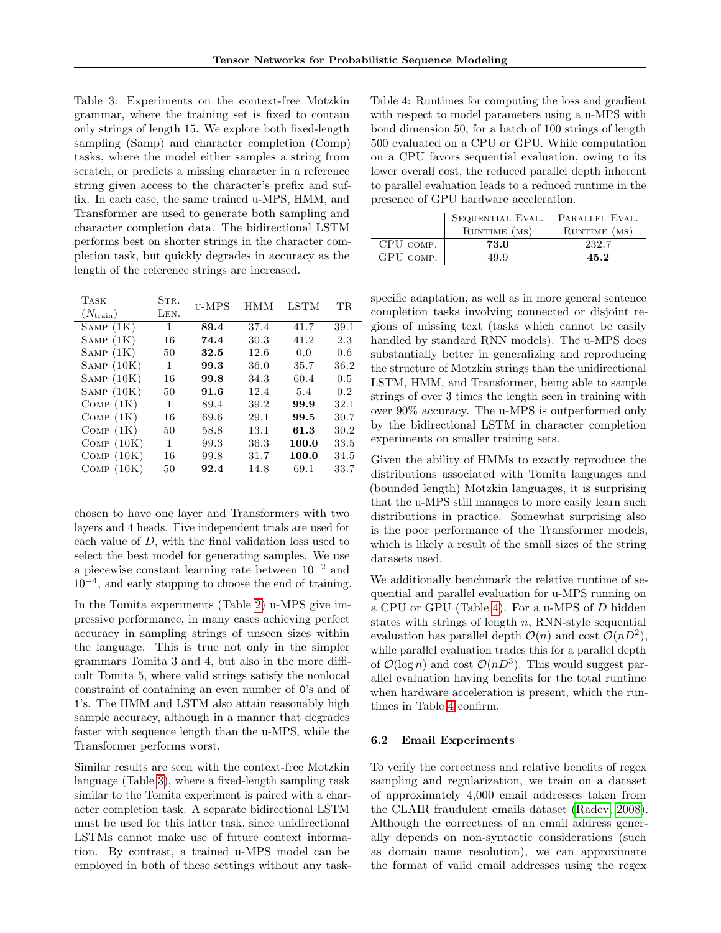<span id="page-7-0"></span>Table 3: Experiments on the context-free Motzkin grammar, where the training set is fixed to contain only strings of length 15. We explore both fixed-length sampling (Samp) and character completion (Comp) tasks, where the model either samples a string from scratch, or predicts a missing character in a reference string given access to the character's prefix and suffix. In each case, the same trained u-MPS, HMM, and Transformer are used to generate both sampling and character completion data. The bidirectional LSTM performs best on shorter strings in the character completion task, but quickly degrades in accuracy as the length of the reference strings are increased.

| <b>TASK</b>          | STR. | <b>U-MPS</b> | HMM  | <b>LSTM</b> | TR.  |
|----------------------|------|--------------|------|-------------|------|
| $(N_{\text{train}})$ | LEN. |              |      |             |      |
| SAMP (1K)            | 1    | 89.4         | 37.4 | 41.7        | 39.1 |
| SAMP (1K)            | 16   | 74.4         | 30.3 | 41.2        | 2.3  |
| SAMP (1K)            | 50   | 32.5         | 12.6 | 0.0         | 0.6  |
| SAMP(10K)            | 1    | 99.3         | 36.0 | 35.7        | 36.2 |
| SAMP $(10K)$         | 16   | 99.8         | 34.3 | 60.4        | 0.5  |
| SAMP(10K)            | 50   | 91.6         | 12.4 | 5.4         | 0.2  |
| COMP(1K)             | 1    | 89.4         | 39.2 | 99.9        | 32.1 |
| COMP(1K)             | 16   | 69.6         | 29.1 | 99.5        | 30.7 |
| COMP(1K)             | 50   | 58.8         | 13.1 | 61.3        | 30.2 |
| COMP(10K)            | 1    | 99.3         | 36.3 | 100.0       | 33.5 |
| COMP $(10K)$         | 16   | 99.8         | 31.7 | 100.0       | 34.5 |
| COMP(10K)            | 50   | 92.4         | 14.8 | 69.1        | 33.7 |
|                      |      |              |      |             |      |

chosen to have one layer and Transformers with two layers and 4 heads. Five independent trials are used for each value of D, with the final validation loss used to select the best model for generating samples. We use a piecewise constant learning rate between  $10^{-2}$  and 10−<sup>4</sup> , and early stopping to choose the end of training.

In the Tomita experiments (Table [2\)](#page-6-0) u-MPS give impressive performance, in many cases achieving perfect accuracy in sampling strings of unseen sizes within the language. This is true not only in the simpler grammars Tomita 3 and 4, but also in the more difficult Tomita 5, where valid strings satisfy the nonlocal constraint of containing an even number of 0's and of 1's. The HMM and LSTM also attain reasonably high sample accuracy, although in a manner that degrades faster with sequence length than the u-MPS, while the Transformer performs worst.

Similar results are seen with the context-free Motzkin language (Table [3\)](#page-7-0), where a fixed-length sampling task similar to the Tomita experiment is paired with a character completion task. A separate bidirectional LSTM must be used for this latter task, since unidirectional LSTMs cannot make use of future context information. By contrast, a trained u-MPS model can be employed in both of these settings without any task<span id="page-7-1"></span>Table 4: Runtimes for computing the loss and gradient with respect to model parameters using a u-MPS with bond dimension 50, for a batch of 100 strings of length 500 evaluated on a CPU or GPU. While computation on a CPU favors sequential evaluation, owing to its lower overall cost, the reduced parallel depth inherent to parallel evaluation leads to a reduced runtime in the presence of GPU hardware acceleration.

|           | SEQUENTIAL EVAL. PARALLEL EVAL.<br>RUNTIME (MS) | RUNTIME (MS) |
|-----------|-------------------------------------------------|--------------|
| CPU COMP. | 73.0                                            | 232.7        |
| GPU COMP. | 49.9                                            | 45.2         |

specific adaptation, as well as in more general sentence completion tasks involving connected or disjoint regions of missing text (tasks which cannot be easily handled by standard RNN models). The u-MPS does substantially better in generalizing and reproducing the structure of Motzkin strings than the unidirectional LSTM, HMM, and Transformer, being able to sample strings of over 3 times the length seen in training with over 90% accuracy. The u-MPS is outperformed only by the bidirectional LSTM in character completion experiments on smaller training sets.

Given the ability of HMMs to exactly reproduce the distributions associated with Tomita languages and (bounded length) Motzkin languages, it is surprising that the u-MPS still manages to more easily learn such distributions in practice. Somewhat surprising also is the poor performance of the Transformer models, which is likely a result of the small sizes of the string datasets used.

We additionally benchmark the relative runtime of sequential and parallel evaluation for u-MPS running on a CPU or GPU (Table [4\)](#page-7-1). For a u-MPS of D hidden states with strings of length  $n$ , RNN-style sequential evaluation has parallel depth  $\mathcal{O}(n)$  and cost  $\mathcal{O}(nD^2)$ , while parallel evaluation trades this for a parallel depth of  $\mathcal{O}(\log n)$  and cost  $\mathcal{O}(nD^3)$ . This would suggest parallel evaluation having benefits for the total runtime when hardware acceleration is present, which the runtimes in Table [4](#page-7-1) confirm.

#### 6.2 Email Experiments

To verify the correctness and relative benefits of regex sampling and regularization, we train on a dataset of approximately 4,000 email addresses taken from the CLAIR fraudulent emails dataset [\(Radev, 2008\)](#page-17-21). Although the correctness of an email address generally depends on non-syntactic considerations (such as domain name resolution), we can approximate the format of valid email addresses using the regex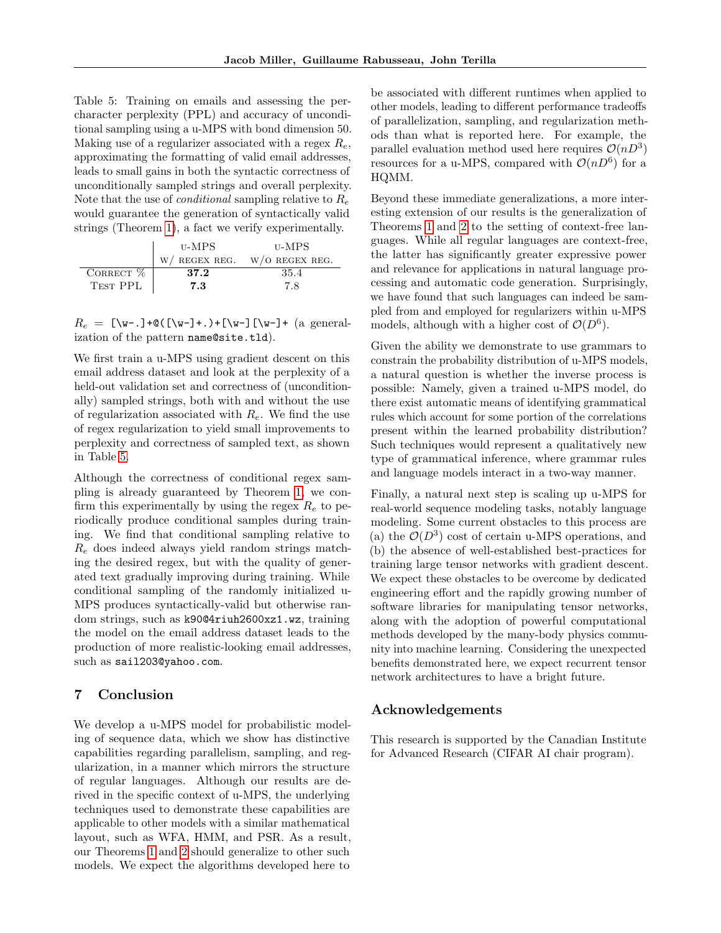<span id="page-8-0"></span>Table 5: Training on emails and assessing the percharacter perplexity (PPL) and accuracy of unconditional sampling using a u-MPS with bond dimension 50. Making use of a regularizer associated with a regex  $R_e$ , approximating the formatting of valid email addresses, leads to small gains in both the syntactic correctness of unconditionally sampled strings and overall perplexity. Note that the use of *conditional* sampling relative to  $R_e$ would guarantee the generation of syntactically valid strings (Theorem [1\)](#page-5-1), a fact we verify experimentally.

|           | U-MPS | U-MPS                       |
|-----------|-------|-----------------------------|
|           |       | W REGEX REG. W O REGEX REG. |
| CORRECT % | 37.2  | 35.4                        |
| TEST PPL  | 7.3   | 78                          |

 $R_e = [\w - .] + \mathbb{C}([\w - ] + .) + [\w - ][\w - ] + (a general$ ization of the pattern name@site.tld).

We first train a u-MPS using gradient descent on this email address dataset and look at the perplexity of a held-out validation set and correctness of (unconditionally) sampled strings, both with and without the use of regularization associated with  $R_e$ . We find the use of regex regularization to yield small improvements to perplexity and correctness of sampled text, as shown in Table [5.](#page-8-0)

Although the correctness of conditional regex sampling is already guaranteed by Theorem [1,](#page-5-1) we confirm this experimentally by using the regex  $R_e$  to periodically produce conditional samples during training. We find that conditional sampling relative to  $R_e$  does indeed always yield random strings matching the desired regex, but with the quality of generated text gradually improving during training. While conditional sampling of the randomly initialized u-MPS produces syntactically-valid but otherwise random strings, such as k90@4riuh2600xz1.wz, training the model on the email address dataset leads to the production of more realistic-looking email addresses, such as sail203@yahoo.com.

## 7 Conclusion

We develop a u-MPS model for probabilistic modeling of sequence data, which we show has distinctive capabilities regarding parallelism, sampling, and regularization, in a manner which mirrors the structure of regular languages. Although our results are derived in the specific context of u-MPS, the underlying techniques used to demonstrate these capabilities are applicable to other models with a similar mathematical layout, such as WFA, HMM, and PSR. As a result, our Theorems [1](#page-5-1) and [2](#page-5-2) should generalize to other such models. We expect the algorithms developed here to be associated with different runtimes when applied to other models, leading to different performance tradeoffs of parallelization, sampling, and regularization methods than what is reported here. For example, the parallel evaluation method used here requires  $\mathcal{O}(nD^3)$ resources for a u-MPS, compared with  $\mathcal{O}(nD^6)$  for a HQMM.

Beyond these immediate generalizations, a more interesting extension of our results is the generalization of Theorems [1](#page-5-1) and [2](#page-5-2) to the setting of context-free languages. While all regular languages are context-free, the latter has significantly greater expressive power and relevance for applications in natural language processing and automatic code generation. Surprisingly, we have found that such languages can indeed be sampled from and employed for regularizers within u-MPS models, although with a higher cost of  $\mathcal{O}(D^6)$ .

Given the ability we demonstrate to use grammars to constrain the probability distribution of u-MPS models, a natural question is whether the inverse process is possible: Namely, given a trained u-MPS model, do there exist automatic means of identifying grammatical rules which account for some portion of the correlations present within the learned probability distribution? Such techniques would represent a qualitatively new type of grammatical inference, where grammar rules and language models interact in a two-way manner.

Finally, a natural next step is scaling up u-MPS for real-world sequence modeling tasks, notably language modeling. Some current obstacles to this process are (a) the  $\mathcal{O}(D^3)$  cost of certain u-MPS operations, and (b) the absence of well-established best-practices for training large tensor networks with gradient descent. We expect these obstacles to be overcome by dedicated engineering effort and the rapidly growing number of software libraries for manipulating tensor networks, along with the adoption of powerful computational methods developed by the many-body physics community into machine learning. Considering the unexpected benefits demonstrated here, we expect recurrent tensor network architectures to have a bright future.

## Acknowledgements

This research is supported by the Canadian Institute for Advanced Research (CIFAR AI chair program).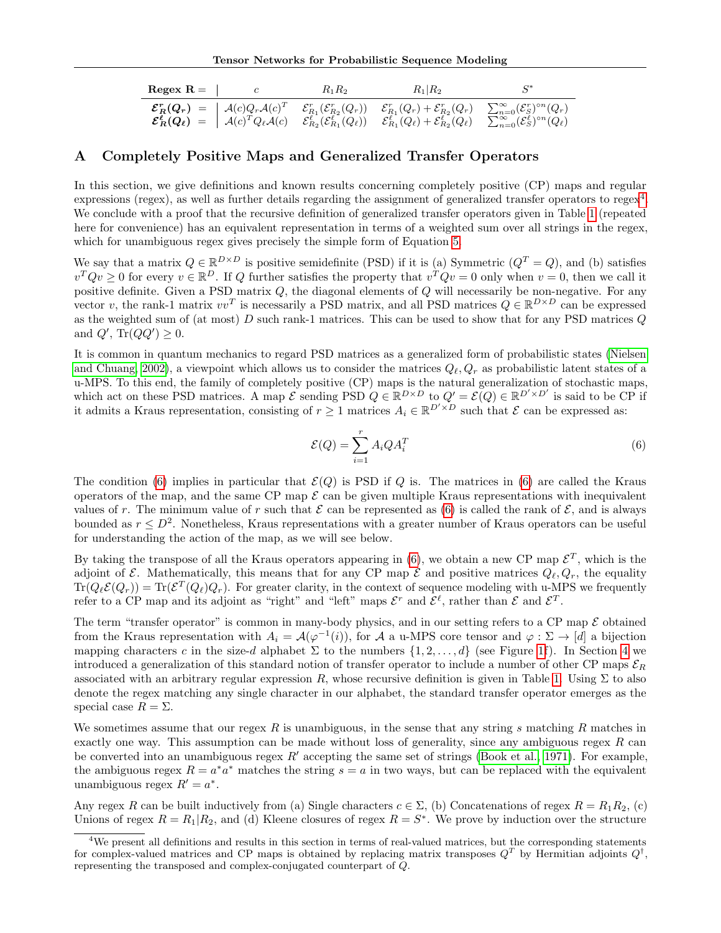| $\text{Regex } R =$ | $R_1R_2$ | $R_1 R_2$                                                                                                                                                                                                                                                                                                                                                                                                                         |                                                                                                                         |
|---------------------|----------|-----------------------------------------------------------------------------------------------------------------------------------------------------------------------------------------------------------------------------------------------------------------------------------------------------------------------------------------------------------------------------------------------------------------------------------|-------------------------------------------------------------------------------------------------------------------------|
|                     |          | $\mathcal{E}_R^r(Q_r) = \begin{bmatrix} \mathcal{A}(c) Q_r \mathcal{A}(c)^T & \mathcal{E}_{R_1}^r(\mathcal{E}_{R_2}^r(Q_r)) & \mathcal{E}_{R_1}^r(Q_r) + \mathcal{E}_{R_2}^r(Q_r) \end{bmatrix}$<br>$\mathcal{E}_R^{\ell}(Q_{\ell}) =  \mathcal{A}(c)^T Q_{\ell} \mathcal{A}(c) \quad \mathcal{E}_{R_2}^{\ell}(\mathcal{E}_{R_1}^{\ell}(Q_{\ell})) \quad \mathcal{E}_{R_1}^{\ell}(Q_{\ell}) + \mathcal{E}_{R_2}^{\ell}(Q_{\ell})$ | $\sum_{n=0}^\infty (\mathcal{E}_S^r)^{\circ n}(Q_r)$<br>$\sum_{n=0}^{\infty}(\mathcal{E}_S^{\ell})^{\circ n}(Q_{\ell})$ |

#### <span id="page-9-0"></span>A Completely Positive Maps and Generalized Transfer Operators

In this section, we give definitions and known results concerning completely positive (CP) maps and regular expressions (regex), as well as further details regarding the assignment of generalized transfer operators to regex<sup>[4](#page-9-1)</sup>. We conclude with a proof that the recursive definition of generalized transfer operators given in Table [1](#page-4-3) (repeated here for convenience) has an equivalent representation in terms of a weighted sum over all strings in the regex, which for unambiguous regex gives precisely the simple form of Equation [5.](#page-4-2)

We say that a matrix  $Q \in \mathbb{R}^{D \times D}$  is positive semidefinite (PSD) if it is (a) Symmetric  $(Q^T = Q)$ , and (b) satisfies  $v^T Q v \geq 0$  for every  $v \in \mathbb{R}^D$ . If Q further satisfies the property that  $v^T Q v = 0$  only when  $v = 0$ , then we call it positive definite. Given a PSD matrix  $Q$ , the diagonal elements of  $Q$  will necessarily be non-negative. For any vector v, the rank-1 matrix  $vv^T$  is necessarily a PSD matrix, and all PSD matrices  $Q \in \mathbb{R}^{D \times D}$  can be expressed as the weighted sum of (at most)  $D$  such rank-1 matrices. This can be used to show that for any PSD matrices  $Q$ and  $Q'$ ,  $\text{Tr}(QQ') \geq 0$ .

It is common in quantum mechanics to regard PSD matrices as a generalized form of probabilistic states [\(Nielsen](#page-17-22) [and Chuang, 2002\)](#page-17-22), a viewpoint which allows us to consider the matrices  $Q_{\ell}, Q_r$  as probabilistic latent states of a u-MPS. To this end, the family of completely positive (CP) maps is the natural generalization of stochastic maps, which act on these PSD matrices. A map  $\mathcal{E}$  sending PSD  $Q \in \mathbb{R}^{D \times D}$  to  $Q' = \mathcal{E}(Q) \in \mathbb{R}^{D' \times D'}$  is said to be CP if it admits a Kraus representation, consisting of  $r \geq 1$  matrices  $A_i \in \mathbb{R}^{D' \times D}$  such that  $\mathcal E$  can be expressed as:

<span id="page-9-2"></span>
$$
\mathcal{E}(Q) = \sum_{i=1}^{r} A_i Q A_i^T \tag{6}
$$

The condition [\(6\)](#page-9-2) implies in particular that  $\mathcal{E}(Q)$  is PSD if Q is. The matrices in (6) are called the Kraus operators of the map, and the same CP map  $\mathcal E$  can be given multiple Kraus representations with inequivalent values of r. The minimum value of r such that  $\mathcal E$  can be represented as [\(6\)](#page-9-2) is called the rank of  $\mathcal E$ , and is always bounded as  $r \leq D^2$ . Nonetheless, Kraus representations with a greater number of Kraus operators can be useful for understanding the action of the map, as we will see below.

By taking the transpose of all the Kraus operators appearing in [\(6\)](#page-9-2), we obtain a new CP map  $\mathcal{E}^T$ , which is the adjoint of  $\mathcal E$ . Mathematically, this means that for any CP map  $\mathcal E$  and positive matrices  $Q_\ell, Q_r$ , the equality  $Tr(Q_\ell \mathcal{E}(Q_r)) = Tr(\mathcal{E}^T(Q_\ell)Q_r)$ . For greater clarity, in the context of sequence modeling with u-MPS we frequently refer to a CP map and its adjoint as "right" and "left" maps  $\mathcal{E}^r$  and  $\mathcal{E}^{\ell}$ , rather than  $\mathcal{E}$  and  $\mathcal{E}^T$ .

The term "transfer operator" is common in many-body physics, and in our setting refers to a CP map  $\mathcal E$  obtained from the Kraus representation with  $A_i = \mathcal{A}(\varphi^{-1}(i))$ , for  $\mathcal{A}$  a u-MPS core tensor and  $\varphi : \Sigma \to [d]$  a bijection mapping characters c in the size-d alphabet  $\Sigma$  to the numbers  $\{1, 2, \ldots, d\}$  (see Figure [1f](#page-2-1)). In Section [4](#page-4-1) we introduced a generalization of this standard notion of transfer operator to include a number of other CP maps  $\mathcal{E}_R$ associated with an arbitrary regular expression R, whose recursive definition is given in Table [1.](#page-4-3) Using  $\Sigma$  to also denote the regex matching any single character in our alphabet, the standard transfer operator emerges as the special case  $R = \Sigma$ .

We sometimes assume that our regex R is unambiguous, in the sense that any string s matching R matches in exactly one way. This assumption can be made without loss of generality, since any ambiguous regex  $R$  can be converted into an unambiguous regex  $R'$  accepting the same set of strings [\(Book et al., 1971\)](#page-16-15). For example, the ambiguous regex  $R = a^* a^*$  matches the string  $s = a$  in two ways, but can be replaced with the equivalent unambiguous regex  $R' = a^*$ .

Any regex R can be built inductively from (a) Single characters  $c \in \Sigma$ , (b) Concatenations of regex  $R = R_1R_2$ , (c) Unions of regex  $R = R_1 | R_2$ , and (d) Kleene closures of regex  $R = S^*$ . We prove by induction over the structure

<span id="page-9-1"></span><sup>4</sup>We present all definitions and results in this section in terms of real-valued matrices, but the corresponding statements for complex-valued matrices and CP maps is obtained by replacing matrix transposes  $Q^T$  by Hermitian adjoints  $Q^{\dagger}$ , representing the transposed and complex-conjugated counterpart of Q.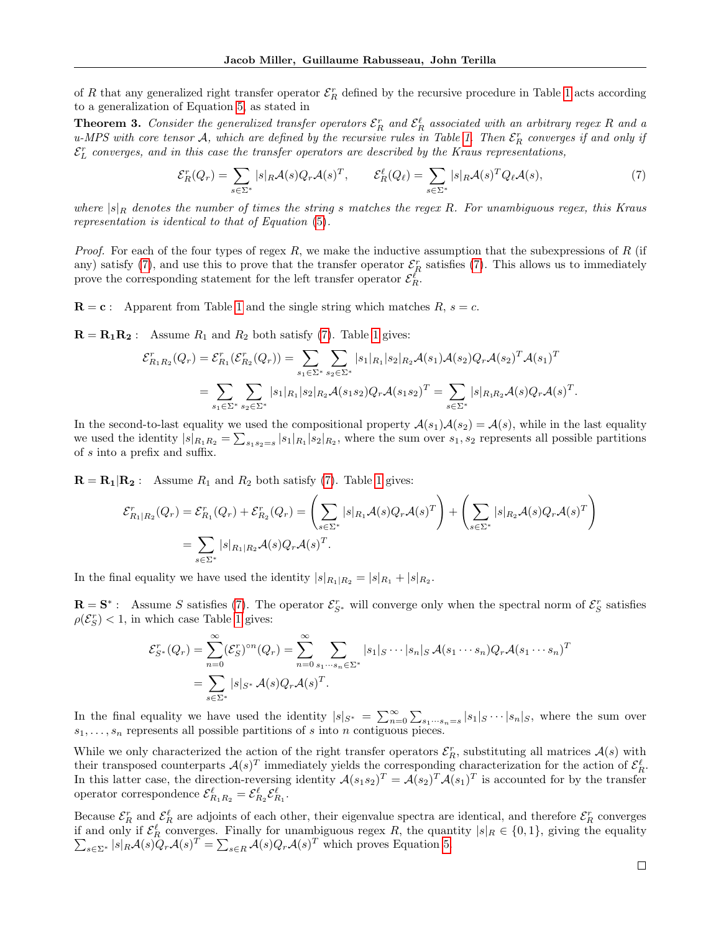of R that any generalized right transfer operator  $\mathcal{E}_R^r$  defined by the recursive procedure in Table [1](#page-4-3) acts according to a generalization of Equation [5,](#page-4-2) as stated in

<span id="page-10-1"></span>**Theorem 3.** Consider the generalized transfer operators  $\mathcal{E}_R^r$  and  $\mathcal{E}_R^\ell$  associated with an arbitrary regex R and a u-MPS with core tensor A, which are defined by the recursive rules in Table [1.](#page-4-3) Then  $\mathcal{E}_R^r$  converges if and only if  $\mathcal{E}_L^r$  converges, and in this case the transfer operators are described by the Kraus representations,

<span id="page-10-0"></span>
$$
\mathcal{E}_R^r(Q_r) = \sum_{s \in \Sigma^*} |s|_R \mathcal{A}(s) Q_r \mathcal{A}(s)^T, \qquad \mathcal{E}_R^\ell(Q_\ell) = \sum_{s \in \Sigma^*} |s|_R \mathcal{A}(s)^T Q_\ell \mathcal{A}(s), \tag{7}
$$

where  $|s|_R$  denotes the number of times the string s matches the regex R. For unambiguous regex, this Kraus representation is identical to that of Equation [\(5\)](#page-4-2).

*Proof.* For each of the four types of regex  $R$ , we make the inductive assumption that the subexpressions of  $R$  (if any) satisfy [\(7\)](#page-10-0), and use this to prove that the transfer operator  $\mathcal{E}_R^r$  satisfies (7). This allows us to immediately prove the corresponding statement for the left transfer operator  $\mathcal{E}_R^{\ell}$ .

 $\mathbf{R} = \mathbf{c}$ : Apparent from Table [1](#page-4-3) and the single string which matches  $R$ ,  $s = c$ .

 $\mathbf{R} = \mathbf{R}_1 \mathbf{R}_2$ : Assume  $R_1$  and  $R_2$  both satisfy [\(7\)](#page-10-0). Table [1](#page-4-3) gives:

$$
\mathcal{E}_{R_1R_2}^r(Q_r) = \mathcal{E}_{R_1}^r(\mathcal{E}_{R_2}^r(Q_r)) = \sum_{s_1 \in \Sigma^*} \sum_{s_2 \in \Sigma^*} |s_1|_{R_1} |s_2|_{R_2} \mathcal{A}(s_1) \mathcal{A}(s_2) Q_r \mathcal{A}(s_2)^T \mathcal{A}(s_1)^T
$$
  
= 
$$
\sum_{s_1 \in \Sigma^*} \sum_{s_2 \in \Sigma^*} |s_1|_{R_1} |s_2|_{R_2} \mathcal{A}(s_1 s_2) Q_r \mathcal{A}(s_1 s_2)^T = \sum_{s \in \Sigma^*} |s|_{R_1R_2} \mathcal{A}(s) Q_r \mathcal{A}(s)^T.
$$

In the second-to-last equality we used the compositional property  $\mathcal{A}(s_1)\mathcal{A}(s_2) = \mathcal{A}(s)$ , while in the last equality we used the identity  $|s|_{R_1R_2} = \sum_{s_1s_2=s} |s_1|_{R_1} |s_2|_{R_2}$ , where the sum over  $s_1, s_2$  represents all possible partitions of s into a prefix and suffix.

 $\mathbf{R} = \mathbf{R}_1 | \mathbf{R}_2$ : Assume  $R_1$  and  $R_2$  both satisfy [\(7\)](#page-10-0). Table [1](#page-4-3) gives:

$$
\mathcal{E}_{R_1|R_2}^r(Q_r) = \mathcal{E}_{R_1}^r(Q_r) + \mathcal{E}_{R_2}^r(Q_r) = \left(\sum_{s \in \Sigma^*} |s|_{R_1} \mathcal{A}(s) Q_r \mathcal{A}(s)^T\right) + \left(\sum_{s \in \Sigma^*} |s|_{R_2} \mathcal{A}(s) Q_r \mathcal{A}(s)^T\right)
$$

$$
= \sum_{s \in \Sigma^*} |s|_{R_1|R_2} \mathcal{A}(s) Q_r \mathcal{A}(s)^T.
$$

In the final equality we have used the identity  $|s|_{R_1|R_2} = |s|_{R_1} + |s|_{R_2}$ .

 $\mathbf{R} = \mathbf{S}^*$ : Assume S satisfies [\(7\)](#page-10-0). The operator  $\mathcal{E}_{S^*}^r$  will converge only when the spectral norm of  $\mathcal{E}_S^r$  satisfies  $\rho(\mathcal{E}_S^r) < 1$  $\rho(\mathcal{E}_S^r) < 1$ , in which case Table 1 gives:

$$
\mathcal{E}_{S^*}^r(Q_r) = \sum_{n=0}^{\infty} (\mathcal{E}_S^r)^{on}(Q_r) = \sum_{n=0}^{\infty} \sum_{s_1 \cdots s_n \in \Sigma^*} |s_1|_{S} \cdots |s_n|_{S} \mathcal{A}(s_1 \cdots s_n) Q_r \mathcal{A}(s_1 \cdots s_n)^T
$$
  
= 
$$
\sum_{s \in \Sigma^*} |s|_{S^*} \mathcal{A}(s) Q_r \mathcal{A}(s)^T.
$$

In the final equality we have used the identity  $|s|_{S^*} = \sum_{n=0}^{\infty} \sum_{s_1 \cdots s_n = s} |s_1|_{S} \cdots |s_n|_{S}$ , where the sum over  $s_1, \ldots, s_n$  represents all possible partitions of s into n contiguous pieces.

While we only characterized the action of the right transfer operators  $\mathcal{E}_R^r$ , substituting all matrices  $\mathcal{A}(s)$  with their transposed counterparts  $A(s)^T$  immediately yields the corresponding characterization for the action of  $\mathcal{E}_R^{\ell}$ . In this latter case, the direction-reversing identity  $\mathcal{A}(s_1 s_2)^T = \mathcal{A}(s_2)^T \mathcal{A}(s_1)^T$  is accounted for by the transfer operator correspondence  $\mathcal{E}_{R_1R_2}^{\ell} = \mathcal{E}_{R_2}^{\ell} \mathcal{E}_{R_1}^{\ell}$ .

Because  $\mathcal{E}_R^r$  and  $\mathcal{E}_R^{\ell}$  are adjoints of each other, their eigenvalue spectra are identical, and therefore  $\mathcal{E}_R^r$  converges if and only if  $\mathcal{E}_F^{\ell}$  $\sum$  $R_R$  converges. Finally for unambiguous regex R, the quantity  $|s|_R \in \{0,1\}$ , giving the equality  $s \in \Sigma^*$   $|s|_R \mathcal{A}(s) Q_r \mathcal{A}(s)^T = \sum_{s \in R} \mathcal{A}(s) Q_r \mathcal{A}(s)^T$  which proves Equation [5.](#page-4-2)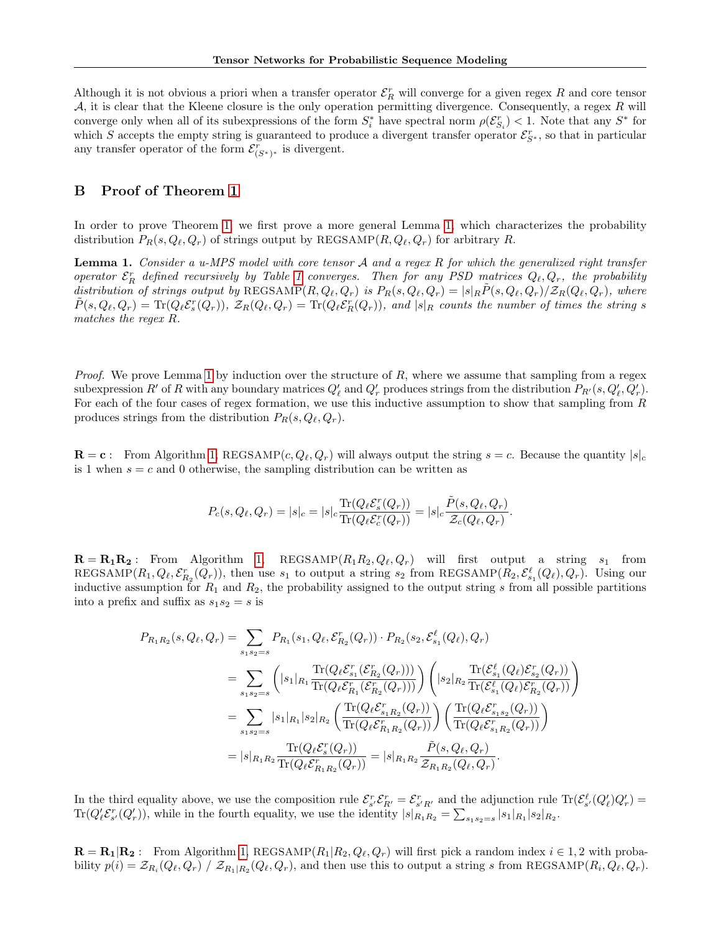Although it is not obvious a priori when a transfer operator  $\mathcal{E}_R^r$  will converge for a given regex R and core tensor A, it is clear that the Kleene closure is the only operation permitting divergence. Consequently, a regex  $R$  will converge only when all of its subexpressions of the form  $S_i^*$  have spectral norm  $\rho(\mathcal{E}_{S_i}^r) < 1$ . Note that any  $S^*$  for which S accepts the empty string is guaranteed to produce a divergent transfer operator  $\mathcal{E}_{S^*}^r$ , so that in particular any transfer operator of the form  $\mathcal{E}_{(S^*)^*}^r$  is divergent.

## <span id="page-11-0"></span>B Proof of Theorem [1](#page-5-1)

In order to prove Theorem [1,](#page-5-1) we first prove a more general Lemma [1,](#page-11-1) which characterizes the probability distribution  $P_R(s, Q_\ell, Q_r)$  of strings output by REGSAMP $(R, Q_\ell, Q_r)$  for arbitrary R.

<span id="page-11-1"></span>**Lemma 1.** Consider a u-MPS model with core tensor  $A$  and a regex  $R$  for which the generalized right transfer operator  $\mathcal{E}_R^r$  defined recursively by Table [1](#page-4-3) converges. Then for any PSD matrices  $Q_\ell, Q_r$ , the probability distribution of strings output by REGSAMP $(R, Q_\ell, Q_r)$  is  $P_R(s, Q_\ell, Q_r) = |s|_R \tilde{P}(s, Q_\ell, Q_r)/\mathcal{Z}_R(Q_\ell, Q_r)$ , where  $\tilde{P}(s, Q_\ell, Q_r) = \text{Tr}(\tilde{Q}_\ell \mathcal{E}_s^r(Q_r)), \ Z_R(Q_\ell, Q_r) = \text{Tr}(Q_\ell \mathcal{E}_R^r(Q_r)), \text{ and } |s|_R \text{ counts the number of times the string } s$ matches the regex R.

*Proof.* We prove Lemma [1](#page-11-1) by induction over the structure of  $R$ , where we assume that sampling from a regex subexpression  $R'$  of R with any boundary matrices  $Q'_\ell$  and  $Q'_r$  produces strings from the distribution  $P_{R'}(s, Q'_\ell, Q'_r)$ . For each of the four cases of regex formation, we use this inductive assumption to show that sampling from  $R$ produces strings from the distribution  $P_R(s, Q_\ell, Q_r)$ .

 $\mathbf{R} = \mathbf{c}$ : From Algorithm [1,](#page-5-0) REGSAMP(c,  $Q_\ell, Q_r$ ) will always output the string  $s = c$ . Because the quantity  $|s|_c$ is 1 when  $s = c$  and 0 otherwise, the sampling distribution can be written as

$$
P_c(s,Q_\ell,Q_r) = |s|_c = |s|_c \frac{\text{Tr}(Q_\ell \mathcal{E}_s^r(Q_r))}{\text{Tr}(Q_\ell \mathcal{E}_c^r(Q_r))} = |s|_c \frac{\tilde{P}(s,Q_\ell,Q_r)}{\mathcal{Z}_c(Q_\ell,Q_r)}.
$$

 $\mathbf{R} = \mathbf{R}_1 \mathbf{R}_2$ : From Algorithm [1,](#page-5-0) REGSAMP $(R_1 R_2, Q_\ell, Q_r)$  will first output a string  $s_1$  from REGSAMP $(R_1, Q_\ell, \mathcal{E}_{R_2}^r(Q_r))$ , then use  $s_1$  to output a string  $s_2$  from REGSAMP $(R_2, \mathcal{E}_{s_1}^{\ell}(Q_{\ell}), Q_r)$ . Using our inductive assumption for  $R_1$  and  $R_2$ , the probability assigned to the output string s from all possible partitions into a prefix and suffix as  $s_1s_2 = s$  is

$$
P_{R_1R_2}(s, Q_{\ell}, Q_r) = \sum_{s_1s_2=s} P_{R_1}(s_1, Q_{\ell}, \mathcal{E}_{R_2}^r(Q_r)) \cdot P_{R_2}(s_2, \mathcal{E}_{s_1}^{\ell}(Q_{\ell}), Q_r)
$$
  
\n
$$
= \sum_{s_1s_2=s} \left( |s_1|_{R_1} \frac{\text{Tr}(Q_{\ell} \mathcal{E}_{s_1}^r(\mathcal{E}_{R_2}^r(Q_r)))}{\text{Tr}(Q_{\ell} \mathcal{E}_{R_1}^r(\mathcal{E}_{R_2}^r(Q_r)))} \right) \left( |s_2|_{R_2} \frac{\text{Tr}(\mathcal{E}_{s_1}^{\ell}(Q_{\ell})\mathcal{E}_{s_2}^r(Q_r))}{\text{Tr}(\mathcal{E}_{s_1}^{\ell}(Q_{\ell})\mathcal{E}_{R_2}^r(Q_r))} \right)
$$
  
\n
$$
= \sum_{s_1s_2=s} |s_1|_{R_1} |s_2|_{R_2} \left( \frac{\text{Tr}(Q_{\ell} \mathcal{E}_{s_1R_2}^r(Q_r))}{\text{Tr}(Q_{\ell} \mathcal{E}_{s_1R_2}^r(Q_r))} \right) \left( \frac{\text{Tr}(Q_{\ell} \mathcal{E}_{s_1s_2}^r(Q_r))}{\text{Tr}(Q_{\ell} \mathcal{E}_{s_1R_2}^r(Q_r))} \right)
$$
  
\n
$$
= |s|_{R_1R_2} \frac{\text{Tr}(Q_{\ell} \mathcal{E}_{s_1R_2}^r(Q_r))}{\text{Tr}(Q_{\ell} \mathcal{E}_{R_1R_2}^r(Q_r))} = |s|_{R_1R_2} \frac{\tilde{P}(s, Q_{\ell}, Q_r)}{\mathcal{Z}_{R_1R_2}(Q_{\ell}, Q_r)}.
$$

In the third equality above, we use the composition rule  $\mathcal{E}_{s'}^r \mathcal{E}_{R'}^r = \mathcal{E}_{s'R'}^r$  and the adjunction rule  $\text{Tr}(\mathcal{E}_{s'}^{\ell}(Q'_{\ell})Q'_r)$  $\text{Tr}(Q_\ell' \mathcal{E}_{s'}^r(Q'_r))$ , while in the fourth equality, we use the identity  $|s|_{R_1R_2} = \sum_{s_1s_2=s} |s_1|_{R_1}|s_2|_{R_2}$ .

 $\mathbf{R} = \mathbf{R}_1 | \mathbf{R}_2$ : From Algorithm [1,](#page-5-0) REGSAMP $(R_1 | R_2, Q_\ell, Q_r)$  will first pick a random index  $i \in 1, 2$  with probability  $p(i) = \mathcal{Z}_{R_i}(Q_\ell, Q_r) / \mathcal{Z}_{R_1|R_2}(Q_\ell, Q_r)$ , and then use this to output a string s from REGSAMP $(R_i, Q_\ell, Q_r)$ .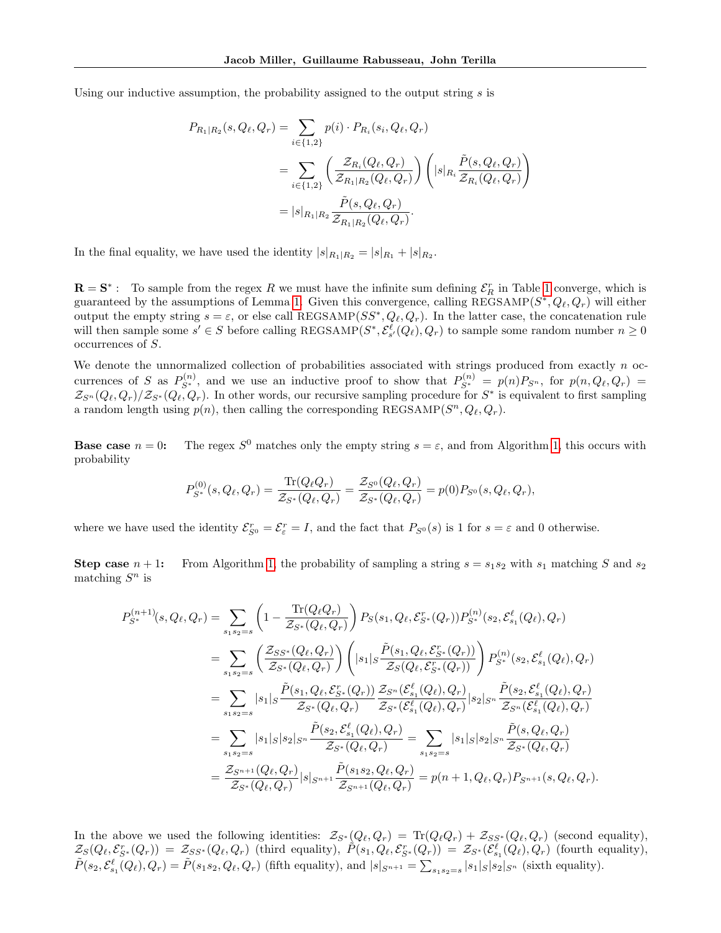Using our inductive assumption, the probability assigned to the output string  $s$  is

$$
P_{R_1|R_2}(s, Q_{\ell}, Q_r) = \sum_{i \in \{1, 2\}} p(i) \cdot P_{R_i}(s_i, Q_{\ell}, Q_r)
$$
  
= 
$$
\sum_{i \in \{1, 2\}} \left( \frac{\mathcal{Z}_{R_i}(Q_{\ell}, Q_r)}{\mathcal{Z}_{R_1|R_2}(Q_{\ell}, Q_r)} \right) \left( |s|_{R_i} \frac{\tilde{P}(s, Q_{\ell}, Q_r)}{\mathcal{Z}_{R_i}(Q_{\ell}, Q_r)} \right)
$$
  
= 
$$
|s|_{R_1|R_2} \frac{\tilde{P}(s, Q_{\ell}, Q_r)}{\mathcal{Z}_{R_1|R_2}(Q_{\ell}, Q_r)}.
$$

In the final equality, we have used the identity  $|s|_{R_1|R_2} = |s|_{R_1} + |s|_{R_2}$ .

 $\mathbf{R} = \mathbf{S}^*$ : To sample from the regex R we must have the infinite sum defining  $\mathcal{E}_R^r$  in Table [1](#page-4-3) converge, which is guaranteed by the assumptions of Lemma [1.](#page-11-1) Given this convergence, calling  $REGSAMP(S^*, Q_\ell, Q_r)$  will either output the empty string  $s = \varepsilon$ , or else call REGSAMP( $SS^*, Q_\ell, Q_r$ ). In the latter case, the concatenation rule will then sample some  $s' \in S$  before calling REGSAMP $(S^*, \mathcal{E}^{\ell}_{s'}(Q_{\ell}), Q_r)$  to sample some random number  $n \geq 0$ occurrences of S.

We denote the unnormalized collection of probabilities associated with strings produced from exactly n occurrences of S as  $P_{S^*}^{(n)}$ , and we use an inductive proof to show that  $P_{S^*}^{(n)} = p(n)P_{S^n}$ , for  $p(n, Q_\ell, Q_r)$  $\mathcal{Z}_{S^n}(Q_\ell, Q_r)/\mathcal{Z}_{S^*}(Q_\ell, Q_r)$ . In other words, our recursive sampling procedure for  $S^*$  is equivalent to first sampling a random length using  $p(n)$ , then calling the corresponding REGSAMP( $S<sup>n</sup>, Q<sub>\ell</sub>, Q<sub>r</sub>$ ).

Base case  $n = 0$ : The regex  $S^0$  matches only the empty string  $s = \varepsilon$ , and from Algorithm [1,](#page-5-0) this occurs with probability

$$
P_{S^*}^{(0)}(s, Q_\ell, Q_r) = \frac{\text{Tr}(Q_\ell Q_r)}{\mathcal{Z}_{S^*}(Q_\ell, Q_r)} = \frac{\mathcal{Z}_{S^0}(Q_\ell, Q_r)}{\mathcal{Z}_{S^*}(Q_\ell, Q_r)} = p(0)P_{S^0}(s, Q_\ell, Q_r),
$$

where we have used the identity  $\mathcal{E}_{S^0}^r = \mathcal{E}_{\varepsilon}^r = I$ , and the fact that  $P_{S^0}(s)$  is 1 for  $s = \varepsilon$  and 0 otherwise.

**Step case**  $n + 1$ : From Algorithm [1,](#page-5-0) the probability of sampling a string  $s = s_1 s_2$  with  $s_1$  matching S and  $s_2$ matching  $S^n$  is

$$
P_{S^*}^{(n+1)}(s, Q_{\ell}, Q_r) = \sum_{s_1 s_2 = s} \left(1 - \frac{\text{Tr}(Q_{\ell}Q_r)}{\mathcal{Z}_{S^*}(Q_{\ell}, Q_r)}\right) P_S(s_1, Q_{\ell}, \mathcal{E}_{S^*}^r(Q_r)) P_{S^*}^{(n)}(s_2, \mathcal{E}_{s_1}^{\ell}(Q_{\ell}), Q_r)
$$
  
\n
$$
= \sum_{s_1 s_2 = s} \left(\frac{\mathcal{Z}_{SS^*}(Q_{\ell}, Q_r)}{\mathcal{Z}_{S^*}(Q_{\ell}, Q_r)}\right) \left(|s_1| S \frac{\tilde{P}(s_1, Q_{\ell}, \mathcal{E}_{S^*}^r(Q_r))}{\mathcal{Z}_{S}(Q_{\ell}, \mathcal{E}_{S^*}^r(Q_r))}\right) P_{S^*}^{(n)}(s_2, \mathcal{E}_{s_1}^{\ell}(Q_{\ell}), Q_r)
$$
  
\n
$$
= \sum_{s_1 s_2 = s} |s_1| S \frac{\tilde{P}(s_1, Q_{\ell}, \mathcal{E}_{S^*}^r(Q_r))}{\mathcal{Z}_{S^*}(Q_{\ell}, Q_r)} \frac{\mathcal{Z}_{S^n}(\mathcal{E}_{s_1}^{\ell}(Q_{\ell}), Q_r)}{\mathcal{Z}_{S^*}(\mathcal{E}_{s_1}^{\ell}(Q_{\ell}), Q_r)} |s_2| S^n \frac{\tilde{P}(s_2, \mathcal{E}_{s_1}^{\ell}(Q_{\ell}), Q_r)}{\mathcal{Z}_{S^n}(\mathcal{E}_{s_1}^{\ell}(Q_{\ell}), Q_r)}
$$
  
\n
$$
= \sum_{s_1 s_2 = s} |s_1| S |s_2| S^n \frac{\tilde{P}(s_2, \mathcal{E}_{s_1}^{\ell}(Q_{\ell}), Q_r)}{\mathcal{Z}_{S^*}(Q_{\ell}, Q_r)} = \sum_{s_1 s_2 = s} |s_1| S |s_2| S^n \frac{\tilde{P}(s, Q_{\ell}, Q_r)}{\mathcal{Z}_{S^*}(Q_{\ell}, Q_r)}
$$
  
\n
$$
= \frac{\mathcal{Z}_{S^{n+1}}(Q_{\ell}, Q_r)}{\mathcal{Z}_{S^*}(Q_{\ell}, Q_r)} |s|_{S^{n+1}} \frac{\tilde{P}(s_1
$$

In the above we used the following identities:  $\mathcal{Z}_{S^*}(Q_\ell, Q_r) = \text{Tr}(Q_\ell Q_r) + \mathcal{Z}_{SS^*}(Q_\ell, Q_r)$  (second equality),  $\mathcal{Z}_S(Q_\ell,\mathcal{E}_{S^*}^r(Q_r)) = \mathcal{Z}_{SS^*}(Q_\ell,Q_r)$  (third equality),  $\tilde{P}(s_1,Q_\ell,\mathcal{E}_{S^*}^r(Q_r)) = \mathcal{Z}_{S^*}(\mathcal{E}_{s_1}^{\ell}(Q_\ell),Q_r)$  (fourth equality),  $\tilde{P}(s_2, \mathcal{E}_{s_1}^{\ell}(Q_{\ell}), Q_r) = \tilde{P}(s_1 s_2, Q_{\ell}, Q_r)$  (fifth equality), and  $|s|_{S^{n+1}} = \sum_{s_1 s_2 = s} |s_1|_S |s_2|_{S^n}$  (sixth equality).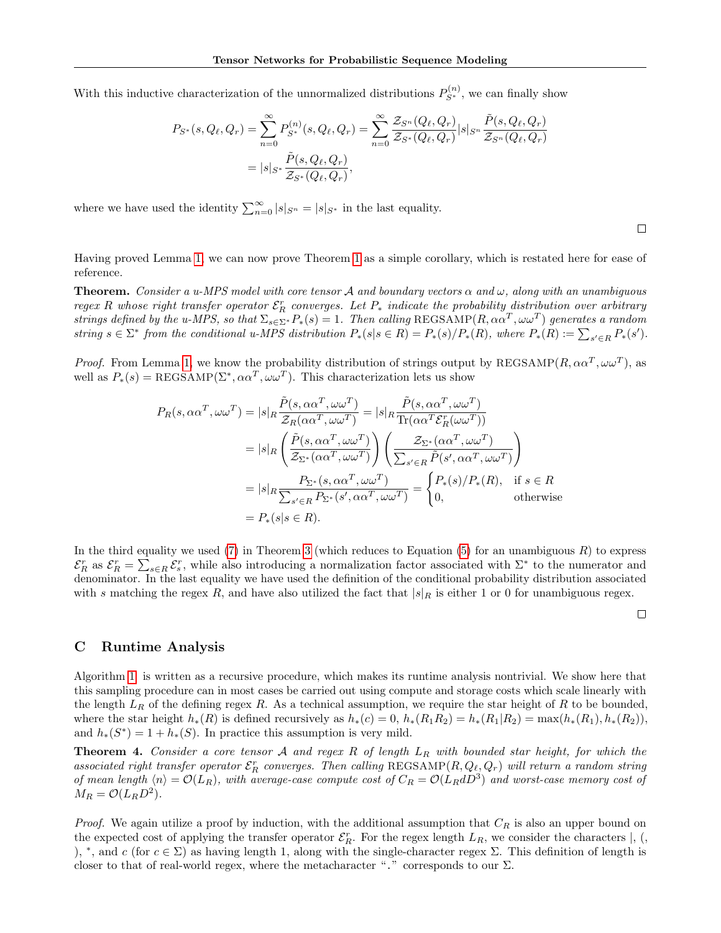With this inductive characterization of the unnormalized distributions  $P_{S^*}^{(n)}$ , we can finally show

$$
P_{S^*}(s, Q_{\ell}, Q_r) = \sum_{n=0}^{\infty} P_{S^*}^{(n)}(s, Q_{\ell}, Q_r) = \sum_{n=0}^{\infty} \frac{\mathcal{Z}_{S^n}(Q_{\ell}, Q_r)}{\mathcal{Z}_{S^*}(Q_{\ell}, Q_r)} |s|_{S^n} \frac{\tilde{P}(s, Q_{\ell}, Q_r)}{\mathcal{Z}_{S^n}(Q_{\ell}, Q_r)}
$$

$$
= |s|_{S^*} \frac{\tilde{P}(s, Q_{\ell}, Q_r)}{\mathcal{Z}_{S^*}(Q_{\ell}, Q_r)},
$$

where we have used the identity  $\sum_{n=0}^{\infty} |s|_{S^n} = |s|_{S^*}$  in the last equality.

 $\Box$ 

Having proved Lemma [1,](#page-11-1) we can now prove Theorem [1](#page-5-1) as a simple corollary, which is restated here for ease of reference.

**Theorem.** Consider a u-MPS model with core tensor A and boundary vectors  $\alpha$  and  $\omega$ , along with an unambiguous regex R whose right transfer operator  $\mathcal{E}_R^r$  converges. Let  $P_*$  indicate the probability distribution over arbitrary strings defined by the u-MPS, so that  $\Sigma_{s\in\Sigma^*}P_*(s)=1$ . Then calling REGSAMP $(R,\alpha\alpha^T,\omega\omega^T)$  generates a random string  $s \in \Sigma^*$  from the conditional u-MPS distribution  $P_*(s|s \in R) = P_*(s)/P_*(R)$ , where  $P_*(R) := \sum_{s' \in R} P_*(s')$ .

*Proof.* From Lemma [1,](#page-11-1) we know the probability distribution of strings output by REGSAMP $(R, \alpha \alpha^T, \omega \omega^T)$ , as well as  $P_*(s) = \text{REGSAMP}(\Sigma^*, \alpha \alpha^T, \omega \omega^T)$ . This characterization lets us show

$$
P_R(s, \alpha \alpha^T, \omega \omega^T) = |s|_R \frac{\tilde{P}(s, \alpha \alpha^T, \omega \omega^T)}{\mathcal{Z}_R(\alpha \alpha^T, \omega \omega^T)} = |s|_R \frac{\tilde{P}(s, \alpha \alpha^T, \omega \omega^T)}{\text{Tr}(\alpha \alpha^T \mathcal{E}_R^r(\omega \omega^T))}
$$
  
\n
$$
= |s|_R \left( \frac{\tilde{P}(s, \alpha \alpha^T, \omega \omega^T)}{\mathcal{Z}_{\Sigma^*}(\alpha \alpha^T, \omega \omega^T)} \right) \left( \frac{\mathcal{Z}_{\Sigma^*}(\alpha \alpha^T, \omega \omega^T)}{\sum_{s' \in R} \tilde{P}(s', \alpha \alpha^T, \omega \omega^T)} \right)
$$
  
\n
$$
= |s|_R \frac{P_{\Sigma^*}(s, \alpha \alpha^T, \omega \omega^T)}{\sum_{s' \in R} P_{\Sigma^*}(s', \alpha \alpha^T, \omega \omega^T)} = \begin{cases} P_*(s)/P_*(R), & \text{if } s \in R \\ 0, & \text{otherwise} \end{cases}
$$
  
\n
$$
= P_*(s|s \in R).
$$

In the third equality we used  $(7)$  in Theorem [3](#page-10-1) (which reduces to Equation  $(5)$  for an unambiguous R) to express  $\mathcal{E}_R^r$  as  $\mathcal{E}_R^r = \sum_{s \in R} \mathcal{E}_s^r$ , while also introducing a normalization factor associated with  $\Sigma^*$  to the numerator and denominator. In the last equality we have used the definition of the conditional probability distribution associated with s matching the regex R, and have also utilized the fact that  $|s|_R$  is either 1 or 0 for unambiguous regex.

 $\Box$ 

## <span id="page-13-0"></span>C Runtime Analysis

Algorithm [1](#page-5-0) is written as a recursive procedure, which makes its runtime analysis nontrivial. We show here that this sampling procedure can in most cases be carried out using compute and storage costs which scale linearly with the length  $L_R$  of the defining regex R. As a technical assumption, we require the star height of R to be bounded, where the star height  $h_*(R)$  is defined recursively as  $h_*(c) = 0$ ,  $h_*(R_1R_2) = h_*(R_1|R_2) = \max(h_*(R_1), h_*(R_2)),$ and  $h_*(S^*) = 1 + h_*(S)$ . In practice this assumption is very mild.

**Theorem 4.** Consider a core tensor A and regex R of length  $L_R$  with bounded star height, for which the associated right transfer operator  $\mathcal{E}_R^r$  converges. Then calling REGSAMP( $R, Q_\ell, Q_r$ ) will return a random string of mean length  $\langle n \rangle = O(L_R)$ , with average-case compute cost of  $C_R = O(L_R dD^3)$  and worst-case memory cost of  $M_R = \mathcal{O}(L_R D^2).$ 

*Proof.* We again utilize a proof by induction, with the additional assumption that  $C_R$  is also an upper bound on the expected cost of applying the transfer operator  $\mathcal{E}_R^r$ . For the regex length  $L_R$ , we consider the characters |, (, ), \*, and c (for  $c \in \Sigma$ ) as having length 1, along with the single-character regex  $\Sigma$ . This definition of length is closer to that of real-world regex, where the metacharacter "." corresponds to our  $\Sigma$ .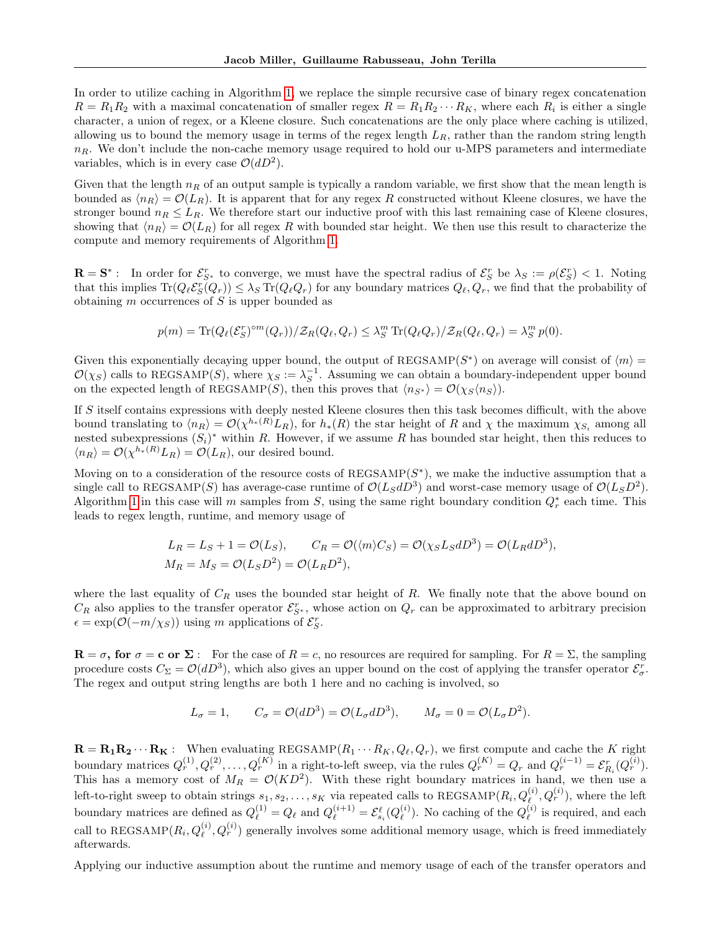In order to utilize caching in Algorithm [1,](#page-5-0) we replace the simple recursive case of binary regex concatenation  $R = R_1 R_2$  with a maximal concatenation of smaller regex  $R = R_1 R_2 \cdots R_K$ , where each  $R_i$  is either a single character, a union of regex, or a Kleene closure. Such concatenations are the only place where caching is utilized, allowing us to bound the memory usage in terms of the regex length  $L_R$ , rather than the random string length  $n_R$ . We don't include the non-cache memory usage required to hold our u-MPS parameters and intermediate variables, which is in every case  $\mathcal{O}(dD^2)$ .

Given that the length  $n<sub>R</sub>$  of an output sample is typically a random variable, we first show that the mean length is bounded as  $\langle n_R \rangle = \mathcal{O}(L_R)$ . It is apparent that for any regex R constructed without Kleene closures, we have the stronger bound  $n_R \leq L_R$ . We therefore start our inductive proof with this last remaining case of Kleene closures, showing that  $\langle n_R \rangle = O(L_R)$  for all regex R with bounded star height. We then use this result to characterize the compute and memory requirements of Algorithm [1.](#page-5-0)

 $\mathbf{R} = \mathbf{S}^*$ : In order for  $\mathcal{E}_{S^*}^r$  to converge, we must have the spectral radius of  $\mathcal{E}_S^r$  be  $\lambda_S := \rho(\mathcal{E}_S^r) < 1$ . Noting that this implies  $\text{Tr}(Q_{\ell} \mathcal{E}_S^r(Q_r)) \leq \lambda_S \text{Tr}(Q_{\ell} Q_r)$  for any boundary matrices  $Q_{\ell}, Q_r$ , we find that the probability of obtaining  $m$  occurrences of  $S$  is upper bounded as

$$
p(m) = \text{Tr}(Q_{\ell}(\mathcal{E}_S^r)^{\circ m}(Q_r))/\mathcal{Z}_R(Q_{\ell}, Q_r) \leq \lambda_S^m \text{Tr}(Q_{\ell}Q_r)/\mathcal{Z}_R(Q_{\ell}, Q_r) = \lambda_S^m p(0).
$$

Given this exponentially decaying upper bound, the output of REGSAMP( $S^*$ ) on average will consist of  $\langle m \rangle =$  $\mathcal{O}(\chi_S)$  calls to REGSAMP(S), where  $\chi_S := \lambda_S^{-1}$ . Assuming we can obtain a boundary-independent upper bound on the expected length of REGSAMP(S), then this proves that  $\langle n_{S*} \rangle = \mathcal{O}(\chi_S \langle n_S \rangle)$ .

If S itself contains expressions with deeply nested Kleene closures then this task becomes difficult, with the above bound translating to  $\langle n_R \rangle = \mathcal{O}(\chi^{h_*(R)} L_R)$ , for  $h_*(R)$  the star height of R and  $\chi$  the maximum  $\chi_{S_i}$  among all nested subexpressions  $(S_i)^*$  within R. However, if we assume R has bounded star height, then this reduces to  $\langle n_R \rangle = \mathcal{O}(\chi^{h_*(R)} L_R) = \mathcal{O}(L_R)$ , our desired bound.

Moving on to a consideration of the resource costs of  $REGSAMP(S^*)$ , we make the inductive assumption that a single call to REGSAMP(S) has average-case runtime of  $\mathcal{O}(L_S dD^3)$  and worst-case memory usage of  $\mathcal{O}(L_S D^2)$ . Algorithm [1](#page-5-0) in this case will m samples from S, using the same right boundary condition  $Q_r^*$  each time. This leads to regex length, runtime, and memory usage of

$$
L_R = L_S + 1 = \mathcal{O}(L_S), \qquad C_R = \mathcal{O}(\langle m \rangle C_S) = \mathcal{O}(\chi_S L_S dD^3) = \mathcal{O}(L_R dD^3),
$$
  
\n
$$
M_R = M_S = \mathcal{O}(L_S D^2) = \mathcal{O}(L_R D^2),
$$

where the last equality of  $C_R$  uses the bounded star height of R. We finally note that the above bound on  $C_R$  also applies to the transfer operator  $\mathcal{E}_{S^*}^r$ , whose action on  $Q_r$  can be approximated to arbitrary precision  $\epsilon = \exp(\mathcal{O}(-m/\chi_S))$  using m applications of  $\mathcal{E}_S^r$ .

 $\mathbf{R} = \sigma$ , for  $\sigma = \mathbf{c}$  or  $\Sigma$ : For the case of  $R = c$ , no resources are required for sampling. For  $R = \Sigma$ , the sampling procedure costs  $C_{\Sigma} = \mathcal{O}(dD^3)$ , which also gives an upper bound on the cost of applying the transfer operator  $\mathcal{E}_{\sigma}^r$ . The regex and output string lengths are both 1 here and no caching is involved, so

$$
L_{\sigma} = 1, \qquad C_{\sigma} = \mathcal{O}(dD^3) = \mathcal{O}(L_{\sigma}dD^3), \qquad M_{\sigma} = 0 = \mathcal{O}(L_{\sigma}D^2).
$$

 $\mathbf{R} = \mathbf{R}_1 \mathbf{R}_2 \cdots \mathbf{R}_K$ : When evaluating REGSAMP $(R_1 \cdots R_K, Q_\ell, Q_r)$ , we first compute and cache the K right boundary matrices  $Q_r^{(1)}, Q_r^{(2)}, \ldots, Q_r^{(K)}$  in a right-to-left sweep, via the rules  $Q_r^{(K)} = Q_r$  and  $Q_r^{(i-1)} = \mathcal{E}_{R_i}^r(Q_r^{(i)})$ . This has a memory cost of  $M_R = \mathcal{O}(KD^2)$ . With these right boundary matrices in hand, we then use a left-to-right sweep to obtain strings  $s_1, s_2, \ldots, s_K$  via repeated calls to REGSAMP $(R_i, Q_\ell^{(i)}, Q_r^{(i)})$ , where the left boundary matrices are defined as  $Q_{\ell}^{(1)} = Q_{\ell}$  and  $Q_{\ell}^{(i+1)} = \mathcal{E}_{s_i}^{\ell}(Q_{\ell}^{(i)})$  $\binom{i}{\ell}$ . No caching of the  $Q_{\ell}^{(i)}$  $\ell$ <sup>(*i*</sup>) is required, and each call to REGSAMP $(R_i, Q_\ell^{(i)}, Q_r^{(i)})$  generally involves some additional memory usage, which is freed immediately afterwards.

Applying our inductive assumption about the runtime and memory usage of each of the transfer operators and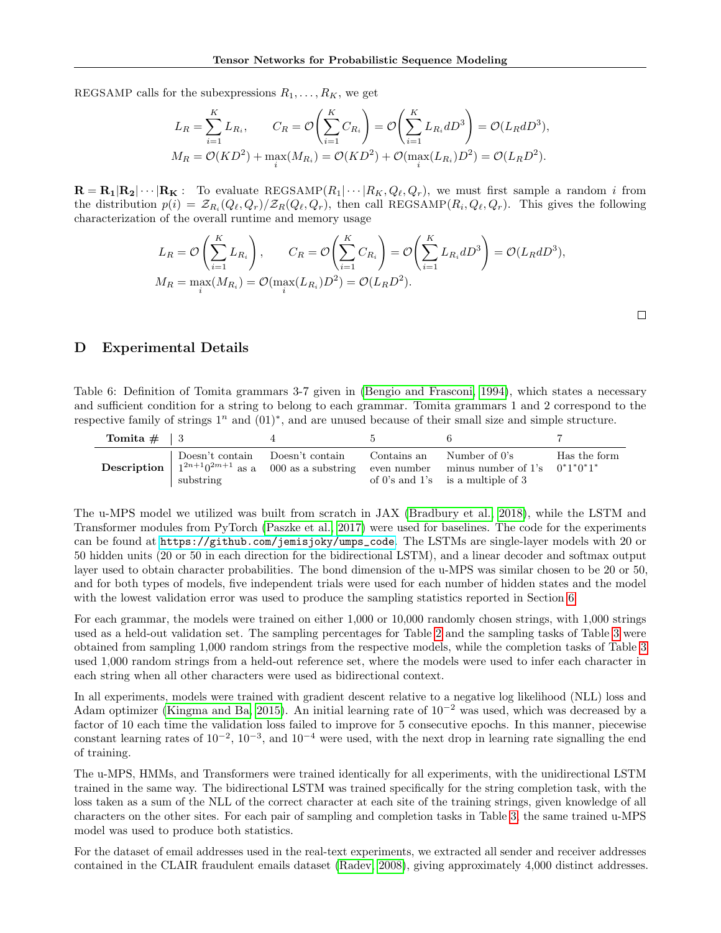REGSAMP calls for the subexpressions  $R_1, \ldots, R_K$ , we get

$$
L_R = \sum_{i=1}^K L_{R_i}, \qquad C_R = \mathcal{O}\left(\sum_{i=1}^K C_{R_i}\right) = \mathcal{O}\left(\sum_{i=1}^K L_{R_i} dD^3\right) = \mathcal{O}(L_R dD^3),
$$
  
\n
$$
M_R = \mathcal{O}(KD^2) + \max_i(M_{R_i}) = \mathcal{O}(KD^2) + \mathcal{O}(\max_i(L_{R_i})D^2) = \mathcal{O}(L_R D^2).
$$

 $\mathbf{R} = \mathbf{R_1}|\mathbf{R_2}|\cdots|\mathbf{R_K}$ : To evaluate REGSAMP $(R_1|\cdots|R_K,Q_\ell,Q_r)$ , we must first sample a random i from the distribution  $p(i) = \mathcal{Z}_{R_i}(Q_\ell, Q_r)/\mathcal{Z}_R(Q_\ell, Q_r)$ , then call REGSAMP $(R_i, Q_\ell, Q_r)$ . This gives the following characterization of the overall runtime and memory usage

$$
L_R = \mathcal{O}\left(\sum_{i=1}^K L_{R_i}\right), \qquad C_R = \mathcal{O}\left(\sum_{i=1}^K C_{R_i}\right) = \mathcal{O}\left(\sum_{i=1}^K L_{R_i} dD^3\right) = \mathcal{O}(L_R dD^3),
$$
  
\n
$$
M_R = \max_i (M_{R_i}) = \mathcal{O}(\max_i (L_{R_i}) D^2) = \mathcal{O}(L_R D^2).
$$

 $\Box$ 

# <span id="page-15-0"></span>D Experimental Details

Table 6: Definition of Tomita grammars 3-7 given in [\(Bengio and Frasconi, 1994\)](#page-16-19), which states a necessary and sufficient condition for a string to belong to each grammar. Tomita grammars 1 and 2 correspond to the respective family of strings  $1^n$  and  $(01)^*$ , and are unused because of their small size and simple structure.

| Tomita $\#$   3 |           |                                 |             |                                                                                                                                                                                       |              |
|-----------------|-----------|---------------------------------|-------------|---------------------------------------------------------------------------------------------------------------------------------------------------------------------------------------|--------------|
|                 | substring | Doesn't contain Doesn't contain | Contains an | Number of 0's<br><b>Description</b> $\left  1^{2n+1} 0^{2m+1} \right $ as a 000 as a substring even number minus number of 1's $0^* 1^* 0^* 1^*$<br>of 0's and 1's is a multiple of 3 | Has the form |

The u-MPS model we utilized was built from scratch in JAX [\(Bradbury et al., 2018\)](#page-16-20), while the LSTM and Transformer modules from PyTorch [\(Paszke et al., 2017\)](#page-17-23) were used for baselines. The code for the experiments can be found at [https://github.com/jemisjoky/umps\\_code](https://github.com/jemisjoky/umps_code). The LSTMs are single-layer models with 20 or 50 hidden units (20 or 50 in each direction for the bidirectional LSTM), and a linear decoder and softmax output layer used to obtain character probabilities. The bond dimension of the u-MPS was similar chosen to be 20 or 50, and for both types of models, five independent trials were used for each number of hidden states and the model with the lowest validation error was used to produce the sampling statistics reported in Section [6.](#page-6-1)

For each grammar, the models were trained on either 1,000 or 10,000 randomly chosen strings, with 1,000 strings used as a held-out validation set. The sampling percentages for Table [2](#page-6-0) and the sampling tasks of Table [3](#page-7-0) were obtained from sampling 1,000 random strings from the respective models, while the completion tasks of Table [3](#page-7-0) used 1,000 random strings from a held-out reference set, where the models were used to infer each character in each string when all other characters were used as bidirectional context.

In all experiments, models were trained with gradient descent relative to a negative log likelihood (NLL) loss and Adam optimizer [\(Kingma and Ba, 2015\)](#page-16-18). An initial learning rate of 10<sup>−</sup><sup>2</sup> was used, which was decreased by a factor of 10 each time the validation loss failed to improve for 5 consecutive epochs. In this manner, piecewise constant learning rates of  $10^{-2}$ ,  $10^{-3}$ , and  $10^{-4}$  were used, with the next drop in learning rate signalling the end of training.

The u-MPS, HMMs, and Transformers were trained identically for all experiments, with the unidirectional LSTM trained in the same way. The bidirectional LSTM was trained specifically for the string completion task, with the loss taken as a sum of the NLL of the correct character at each site of the training strings, given knowledge of all characters on the other sites. For each pair of sampling and completion tasks in Table [3,](#page-7-0) the same trained u-MPS model was used to produce both statistics.

For the dataset of email addresses used in the real-text experiments, we extracted all sender and receiver addresses contained in the CLAIR fraudulent emails dataset [\(Radev, 2008\)](#page-17-21), giving approximately 4,000 distinct addresses.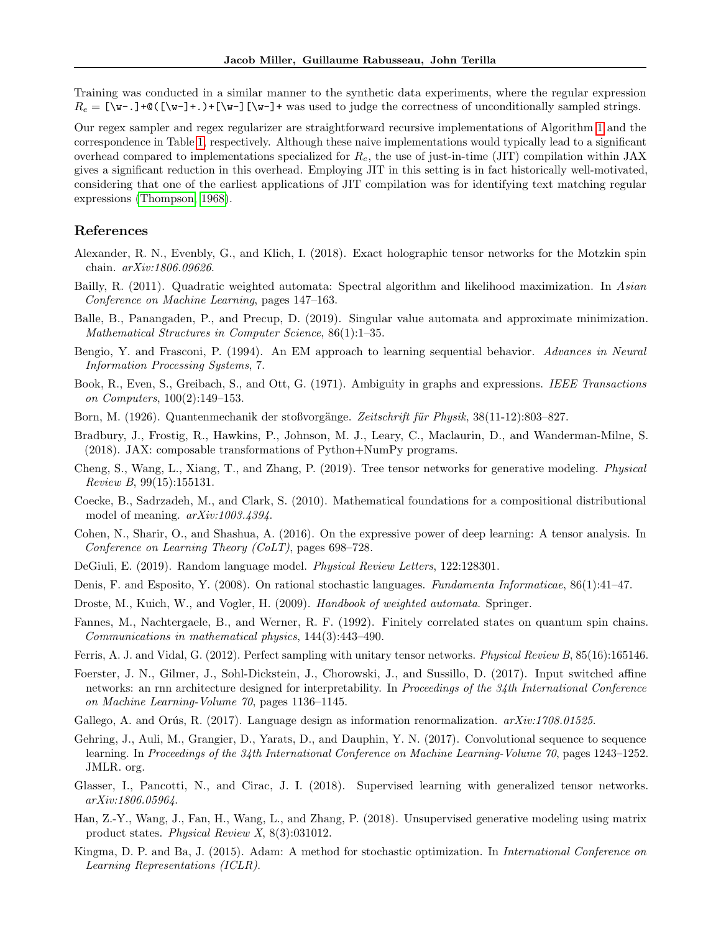Training was conducted in a similar manner to the synthetic data experiments, where the regular expression  $R_e = \{\wedge w\text{-}1+\< (\wedge w\text{-}1+\< w\text{-}1+\text{ was used to judge the correctness of unconditionally sampled strings.}\}$ 

Our regex sampler and regex regularizer are straightforward recursive implementations of Algorithm [1](#page-5-0) and the correspondence in Table [1,](#page-4-3) respectively. Although these naive implementations would typically lead to a significant overhead compared to implementations specialized for  $R_e$ , the use of just-in-time (JIT) compilation within JAX gives a significant reduction in this overhead. Employing JIT in this setting is in fact historically well-motivated, considering that one of the earliest applications of JIT compilation was for identifying text matching regular expressions [\(Thompson, 1968\)](#page-17-24).

## References

- <span id="page-16-17"></span>Alexander, R. N., Evenbly, G., and Klich, I. (2018). Exact holographic tensor networks for the Motzkin spin chain. arXiv:1806.09626.
- <span id="page-16-10"></span>Bailly, R. (2011). Quadratic weighted automata: Spectral algorithm and likelihood maximization. In Asian Conference on Machine Learning, pages 147–163.
- <span id="page-16-16"></span>Balle, B., Panangaden, P., and Precup, D. (2019). Singular value automata and approximate minimization. Mathematical Structures in Computer Science, 86(1):1–35.
- <span id="page-16-19"></span>Bengio, Y. and Frasconi, P. (1994). An EM approach to learning sequential behavior. Advances in Neural Information Processing Systems, 7.
- <span id="page-16-15"></span>Book, R., Even, S., Greibach, S., and Ott, G. (1971). Ambiguity in graphs and expressions. IEEE Transactions on Computers, 100(2):149–153.
- <span id="page-16-14"></span>Born, M. (1926). Quantenmechanik der stoßvorgänge. Zeitschrift für Physik, 38(11-12):803–827.
- <span id="page-16-20"></span>Bradbury, J., Frostig, R., Hawkins, P., Johnson, M. J., Leary, C., Maclaurin, D., and Wanderman-Milne, S. (2018). JAX: composable transformations of Python+NumPy programs.
- <span id="page-16-3"></span>Cheng, S., Wang, L., Xiang, T., and Zhang, P. (2019). Tree tensor networks for generative modeling. Physical Review B, 99(15):155131.
- <span id="page-16-6"></span>Coecke, B., Sadrzadeh, M., and Clark, S. (2010). Mathematical foundations for a compositional distributional model of meaning. arXiv:1003.4394.
- <span id="page-16-1"></span>Cohen, N., Sharir, O., and Shashua, A. (2016). On the expressive power of deep learning: A tensor analysis. In Conference on Learning Theory (CoLT), pages 698–728.
- <span id="page-16-8"></span>DeGiuli, E. (2019). Random language model. Physical Review Letters, 122:128301.

<span id="page-16-13"></span>Denis, F. and Esposito, Y. (2008). On rational stochastic languages. Fundamenta Informaticae, 86(1):41–47.

- <span id="page-16-12"></span>Droste, M., Kuich, W., and Vogler, H. (2009). Handbook of weighted automata. Springer.
- <span id="page-16-0"></span>Fannes, M., Nachtergaele, B., and Werner, R. F. (1992). Finitely correlated states on quantum spin chains. Communications in mathematical physics, 144(3):443–490.
- <span id="page-16-9"></span>Ferris, A. J. and Vidal, G. (2012). Perfect sampling with unitary tensor networks. *Physical Review B*, 85(16):165146.
- <span id="page-16-11"></span>Foerster, J. N., Gilmer, J., Sohl-Dickstein, J., Chorowski, J., and Sussillo, D. (2017). Input switched affine networks: an rnn architecture designed for interpretability. In Proceedings of the 34th International Conference on Machine Learning-Volume 70, pages 1136–1145.
- <span id="page-16-7"></span>Gallego, A. and Orús, R. (2017). Language design as information renormalization.  $arXiv:1708.01525$ .
- <span id="page-16-4"></span>Gehring, J., Auli, M., Grangier, D., Yarats, D., and Dauphin, Y. N. (2017). Convolutional sequence to sequence learning. In Proceedings of the 34th International Conference on Machine Learning-Volume 70, pages 1243–1252. JMLR. org.
- <span id="page-16-5"></span>Glasser, I., Pancotti, N., and Cirac, J. I. (2018). Supervised learning with generalized tensor networks. arXiv:1806.05964.
- <span id="page-16-2"></span>Han, Z.-Y., Wang, J., Fan, H., Wang, L., and Zhang, P. (2018). Unsupervised generative modeling using matrix product states. Physical Review X, 8(3):031012.
- <span id="page-16-18"></span>Kingma, D. P. and Ba, J. (2015). Adam: A method for stochastic optimization. In *International Conference on* Learning Representations (ICLR).